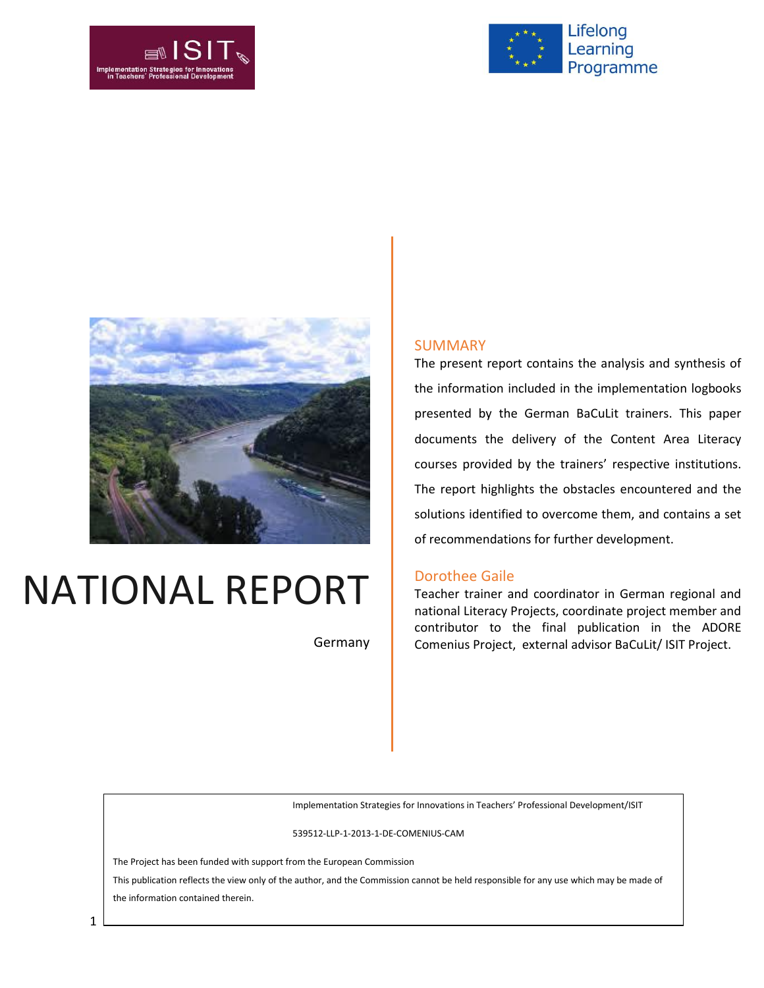





# NATIONAL REPORT

Germany

#### SUMMARY

The present report contains the analysis and synthesis of the information included in the implementation logbooks presented by the German BaCuLit trainers. This paper documents the delivery of the Content Area Literacy courses provided by the trainers' respective institutions. The report highlights the obstacles encountered and the solutions identified to overcome them, and contains a set of recommendations for further development.

#### Dorothee Gaile

Teacher trainer and coordinator in German regional and national Literacy Projects, coordinate project member and contributor to the final publication in the ADORE Comenius Project, external advisor BaCuLit/ ISIT Project.

Implementation Strategies for Innovations in Teachers' Professional Development/ISIT

539512-LLP-1-2013-1-DE-COMENIUS-CAM

The Project has been funded with support from the European Commission

This publication reflects the view only of the author, and the Commission cannot be held responsible for any use which may be made of the information contained therein.

1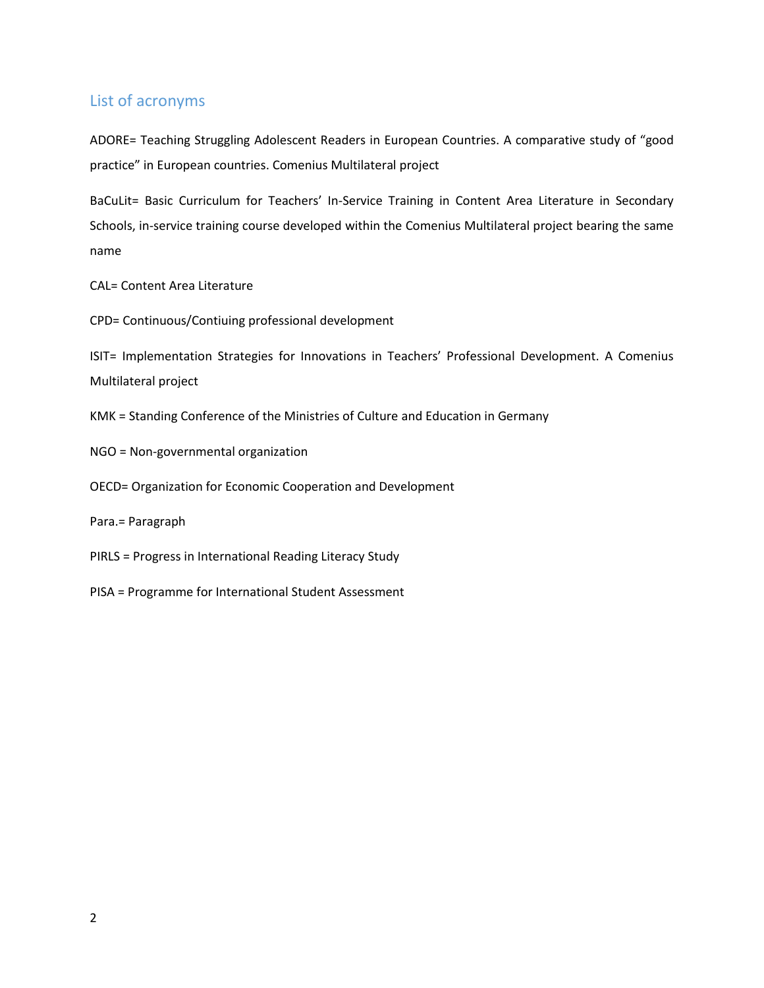## List of acronyms

ADORE= Teaching Struggling Adolescent Readers in European Countries. A comparative study of "good practice" in European countries. Comenius Multilateral project

BaCuLit= Basic Curriculum for Teachers' In-Service Training in Content Area Literature in Secondary Schools, in-service training course developed within the Comenius Multilateral project bearing the same name

CAL= Content Area Literature

CPD= Continuous/Contiuing professional development

ISIT= Implementation Strategies for Innovations in Teachers' Professional Development. A Comenius Multilateral project

KMK = Standing Conference of the Ministries of Culture and Education in Germany

NGO = Non-governmental organization

OECD= Organization for Economic Cooperation and Development

Para.= Paragraph

PIRLS = Progress in International Reading Literacy Study

PISA = Programme for International Student Assessment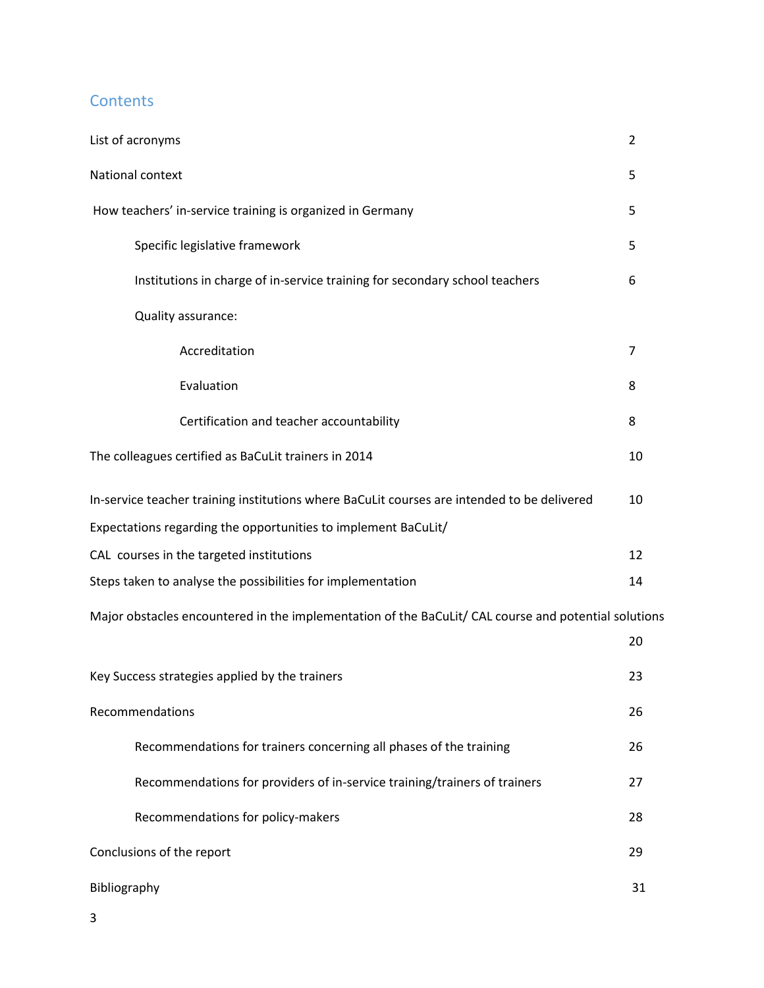## **Contents**

| List of acronyms                                                                                     | 2  |
|------------------------------------------------------------------------------------------------------|----|
| National context                                                                                     | 5  |
| How teachers' in-service training is organized in Germany                                            | 5  |
| Specific legislative framework                                                                       | 5  |
| Institutions in charge of in-service training for secondary school teachers                          | 6  |
| Quality assurance:                                                                                   |    |
| Accreditation                                                                                        | 7  |
| Evaluation                                                                                           | 8  |
| Certification and teacher accountability                                                             | 8  |
| The colleagues certified as BaCuLit trainers in 2014                                                 | 10 |
| In-service teacher training institutions where BaCuLit courses are intended to be delivered          | 10 |
| Expectations regarding the opportunities to implement BaCuLit/                                       |    |
| CAL courses in the targeted institutions                                                             | 12 |
| Steps taken to analyse the possibilities for implementation                                          | 14 |
| Major obstacles encountered in the implementation of the BaCuLit/ CAL course and potential solutions |    |
|                                                                                                      | 20 |
| Key Success strategies applied by the trainers                                                       | 23 |
| Recommendations                                                                                      | 26 |
| Recommendations for trainers concerning all phases of the training                                   | 26 |
| Recommendations for providers of in-service training/trainers of trainers                            | 27 |
| Recommendations for policy-makers                                                                    | 28 |
| Conclusions of the report                                                                            | 29 |
| Bibliography                                                                                         | 31 |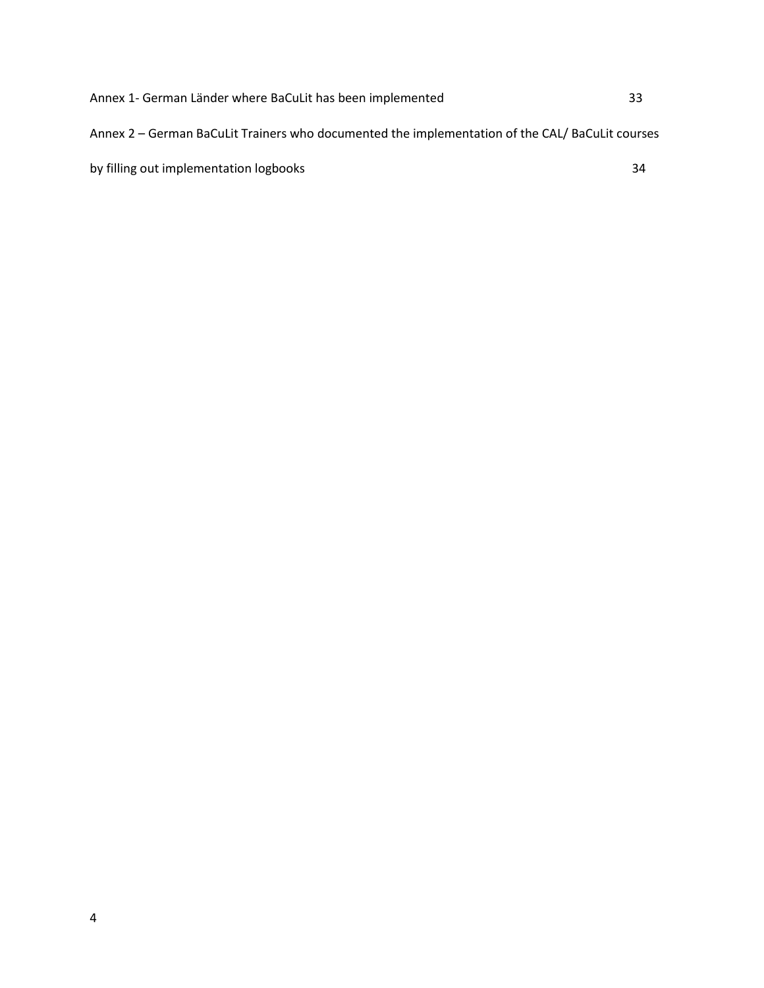Annex 1- German Länder where BaCuLit has been implemented 33 Annex 2 – German BaCuLit Trainers who documented the implementation of the CAL/ BaCuLit courses by filling out implementation logbooks 34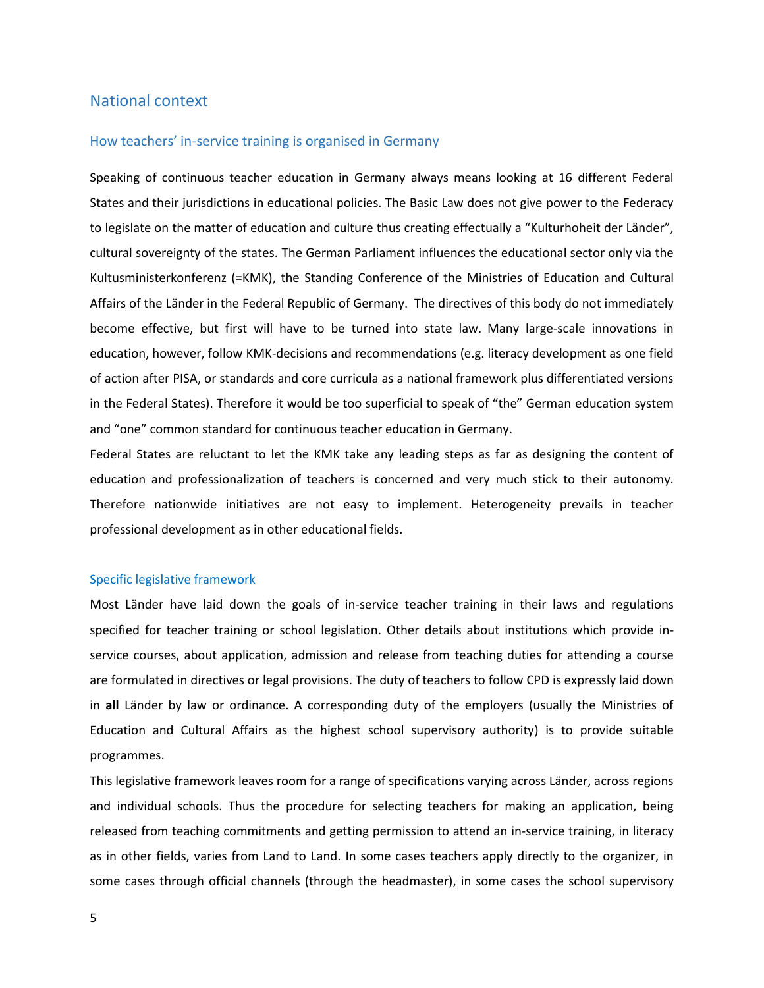### National context

#### How teachers' in-service training is organised in Germany

Speaking of continuous teacher education in Germany always means looking at 16 different Federal States and their jurisdictions in educational policies. The Basic Law does not give power to the Federacy to legislate on the matter of education and culture thus creating effectually a "Kulturhoheit der Länder", cultural sovereignty of the states. The German Parliament influences the educational sector only via the Kultusministerkonferenz (=KMK), the Standing Conference of the Ministries of Education and Cultural Affairs of the Länder in the [Federal Republic of Germany.](http://en.wikipedia.org/wiki/Germany) The directives of this body do not immediately become effective, but first will have to be turned into state law. Many large-scale innovations in education, however, follow KMK-decisions and recommendations (e.g. literacy development as one field of action after PISA, or standards and core curricula as a national framework plus differentiated versions in the Federal States). Therefore it would be too superficial to speak of "the" German education system and "one" common standard for continuous teacher education in Germany.

Federal States are reluctant to let the KMK take any leading steps as far as designing the content of education and professionalization of teachers is concerned and very much stick to their autonomy. Therefore nationwide initiatives are not easy to implement. Heterogeneity prevails in teacher professional development as in other educational fields.

#### Specific legislative framework

Most Länder have laid down the goals of in-service teacher training in their laws and regulations specified for teacher training or school legislation. Other details about institutions which provide inservice courses, about application, admission and release from teaching duties for attending a course are formulated in directives or legal provisions. The duty of teachers to follow CPD is expressly laid down in **all** Länder by law or ordinance. A corresponding duty of the employers (usually the Ministries of Education and Cultural Affairs as the highest school supervisory authority) is to provide suitable programmes.

This legislative framework leaves room for a range of specifications varying across Länder, across regions and individual schools. Thus the procedure for selecting teachers for making an application, being released from teaching commitments and getting permission to attend an in-service training, in literacy as in other fields, varies from Land to Land. In some cases teachers apply directly to the organizer, in some cases through official channels (through the headmaster), in some cases the school supervisory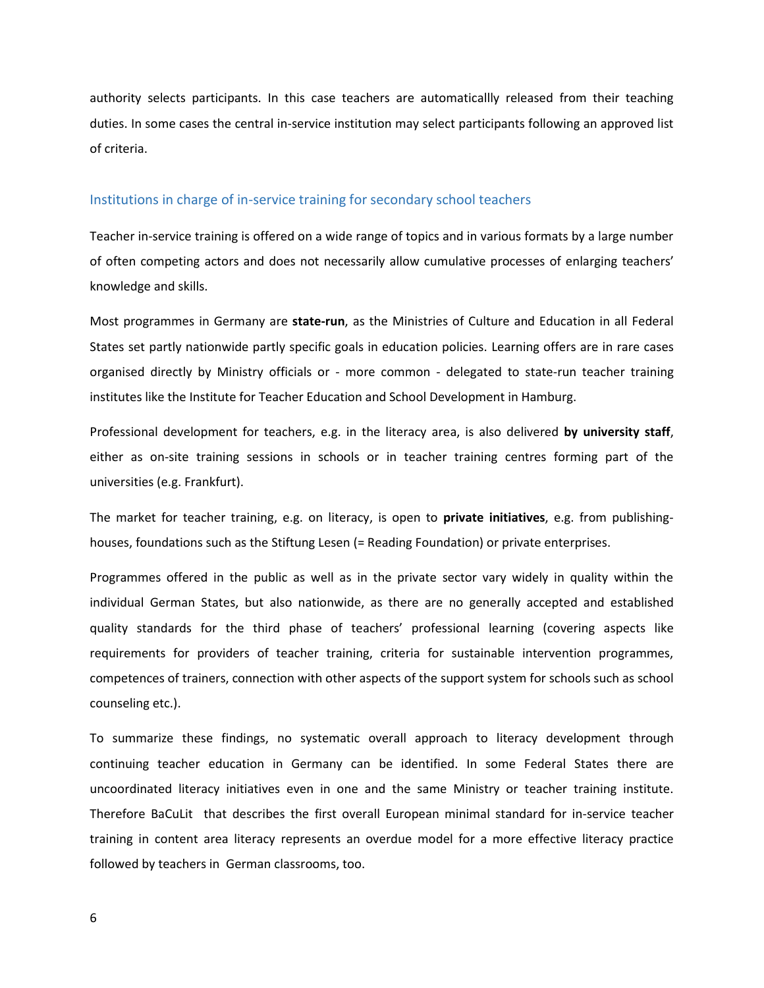authority selects participants. In this case teachers are automaticallly released from their teaching duties. In some cases the central in-service institution may select participants following an approved list of criteria.

#### Institutions in charge of in-service training for secondary school teachers

Teacher in-service training is offered on a wide range of topics and in various formats by a large number of often competing actors and does not necessarily allow cumulative processes of enlarging teachers' knowledge and skills.

Most programmes in Germany are **state-run**, as the Ministries of Culture and Education in all Federal States set partly nationwide partly specific goals in education policies. Learning offers are in rare cases organised directly by Ministry officials or - more common - delegated to state-run teacher training institutes like the Institute for Teacher Education and School Development in Hamburg.

Professional development for teachers, e.g. in the literacy area, is also delivered **by university staff**, either as on-site training sessions in schools or in teacher training centres forming part of the universities (e.g. Frankfurt).

The market for teacher training, e.g. on literacy, is open to **private initiatives**, e.g. from publishinghouses, foundations such as the Stiftung Lesen (= Reading Foundation) or private enterprises.

Programmes offered in the public as well as in the private sector vary widely in quality within the individual German States, but also nationwide, as there are no generally accepted and established quality standards for the third phase of teachers' professional learning (covering aspects like requirements for providers of teacher training, criteria for sustainable intervention programmes, competences of trainers, connection with other aspects of the support system for schools such as school counseling etc.).

To summarize these findings, no systematic overall approach to literacy development through continuing teacher education in Germany can be identified. In some Federal States there are uncoordinated literacy initiatives even in one and the same Ministry or teacher training institute. Therefore BaCuLit that describes the first overall European minimal standard for in-service teacher training in content area literacy represents an overdue model for a more effective literacy practice followed by teachers in German classrooms, too.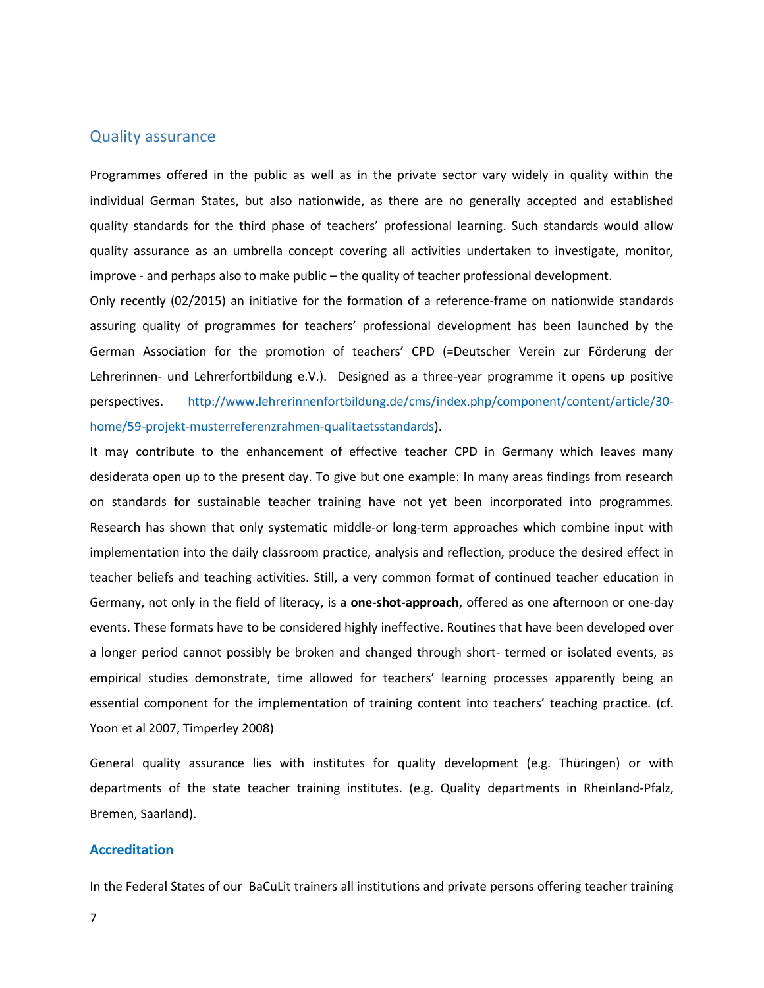#### Quality assurance

Programmes offered in the public as well as in the private sector vary widely in quality within the individual German States, but also nationwide, as there are no generally accepted and established quality standards for the third phase of teachers' professional learning. Such standards would allow quality assurance as an umbrella concept covering all activities undertaken to investigate, monitor, improve - and perhaps also to make public – the quality of teacher professional development.

Only recently (02/2015) an initiative for the formation of a reference-frame on nationwide standards assuring quality of programmes for teachers' professional development has been launched by the German Association for the promotion of teachers' CPD (=Deutscher Verein zur Förderung der Lehrerinnen- und Lehrerfortbildung e.V.). Designed as a three-year programme it opens up positive perspectives. [http://www.lehrerinnenfortbildung.de/cms/index.php/component/content/article/30](http://www.lehrerinnenfortbildung.de/cms/index.php/component/content/article/30-home/59-projekt-musterreferenzrahmen-qualitaetsstandards) [home/59-projekt-musterreferenzrahmen-qualitaetsstandards\)](http://www.lehrerinnenfortbildung.de/cms/index.php/component/content/article/30-home/59-projekt-musterreferenzrahmen-qualitaetsstandards).

It may contribute to the enhancement of effective teacher CPD in Germany which leaves many desiderata open up to the present day. To give but one example: In many areas findings from research on standards for sustainable teacher training have not yet been incorporated into programmes. Research has shown that only systematic middle-or long-term approaches which combine input with implementation into the daily classroom practice, analysis and reflection, produce the desired effect in teacher beliefs and teaching activities. Still, a very common format of continued teacher education in Germany, not only in the field of literacy, is a **one-shot-approach**, offered as one afternoon or one-day events. These formats have to be considered highly ineffective. Routines that have been developed over a longer period cannot possibly be broken and changed through short- termed or isolated events, as empirical studies demonstrate, time allowed for teachers' learning processes apparently being an essential component for the implementation of training content into teachers' teaching practice. (cf. Yoon et al 2007, Timperley 2008)

General quality assurance lies with institutes for quality development (e.g. Thüringen) or with departments of the state teacher training institutes. (e.g. Quality departments in Rheinland-Pfalz, Bremen, Saarland).

#### **Accreditation**

In the Federal States of our BaCuLit trainers all institutions and private persons offering teacher training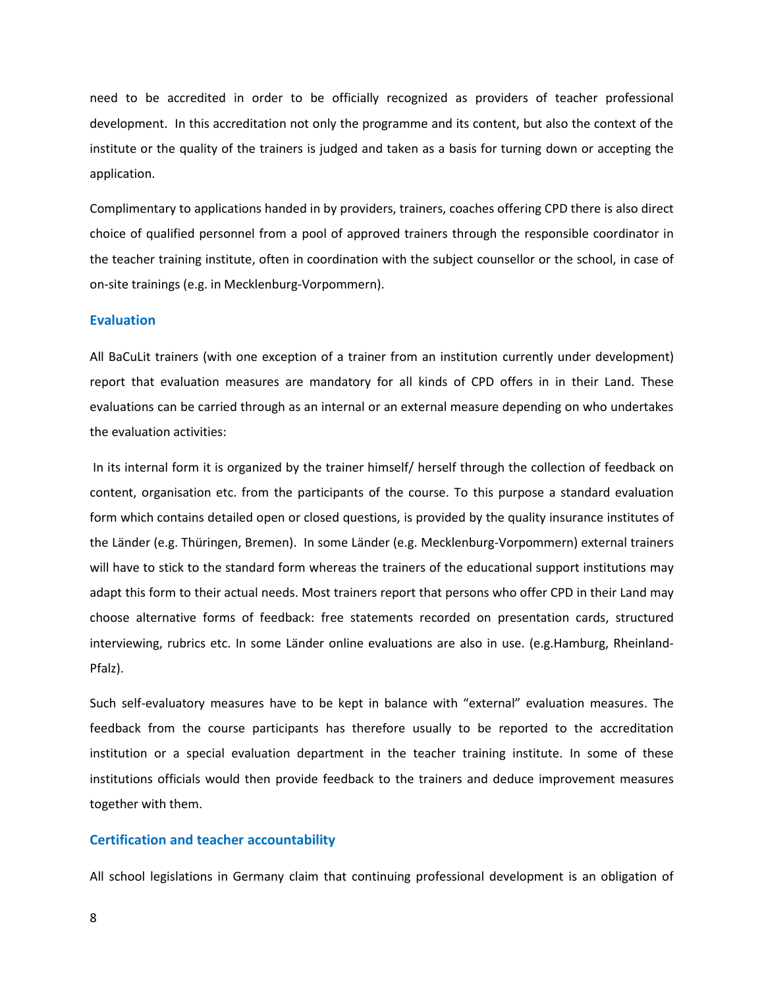need to be accredited in order to be officially recognized as providers of teacher professional development. In this accreditation not only the programme and its content, but also the context of the institute or the quality of the trainers is judged and taken as a basis for turning down or accepting the application.

Complimentary to applications handed in by providers, trainers, coaches offering CPD there is also direct choice of qualified personnel from a pool of approved trainers through the responsible coordinator in the teacher training institute, often in coordination with the subject counsellor or the school, in case of on-site trainings (e.g. in Mecklenburg-Vorpommern).

#### **Evaluation**

All BaCuLit trainers (with one exception of a trainer from an institution currently under development) report that evaluation measures are mandatory for all kinds of CPD offers in in their Land. These evaluations can be carried through as an internal or an external measure depending on who undertakes the evaluation activities:

In its internal form it is organized by the trainer himself/ herself through the collection of feedback on content, organisation etc. from the participants of the course. To this purpose a standard evaluation form which contains detailed open or closed questions, is provided by the quality insurance institutes of the Länder (e.g. Thüringen, Bremen). In some Länder (e.g. Mecklenburg-Vorpommern) external trainers will have to stick to the standard form whereas the trainers of the educational support institutions may adapt this form to their actual needs. Most trainers report that persons who offer CPD in their Land may choose alternative forms of feedback: free statements recorded on presentation cards, structured interviewing, rubrics etc. In some Länder online evaluations are also in use. (e.g.Hamburg, Rheinland-Pfalz).

Such self-evaluatory measures have to be kept in balance with "external" evaluation measures. The feedback from the course participants has therefore usually to be reported to the accreditation institution or a special evaluation department in the teacher training institute. In some of these institutions officials would then provide feedback to the trainers and deduce improvement measures together with them.

#### **Certification and teacher accountability**

All school legislations in Germany claim that continuing professional development is an obligation of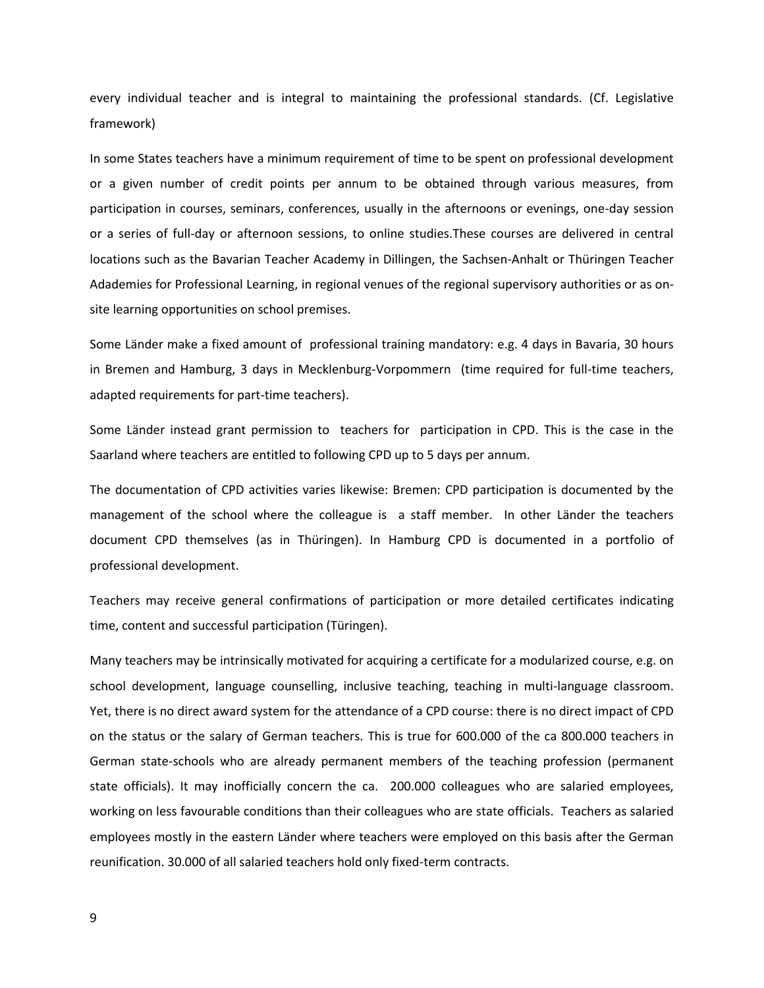every individual teacher and is integral to maintaining the professional standards. (Cf. Legislative framework)

In some States teachers have a minimum requirement of time to be spent on professional development or a given number of credit points per annum to be obtained through various measures, from participation in courses, seminars, conferences, usually in the afternoons or evenings, one-day session or a series of full-day or afternoon sessions, to online studies.These courses are delivered in central locations such as the Bavarian Teacher Academy in Dillingen, the Sachsen-Anhalt or Thüringen Teacher Adademies for Professional Learning, in regional venues of the regional supervisory authorities or as onsite learning opportunities on school premises.

Some Länder make a fixed amount of professional training mandatory: e.g. 4 days in Bavaria, 30 hours in Bremen and Hamburg, 3 days in Mecklenburg-Vorpommern (time required for full-time teachers, adapted requirements for part-time teachers).

Some Länder instead grant permission to teachers for participation in CPD. This is the case in the Saarland where teachers are entitled to following CPD up to 5 days per annum.

The documentation of CPD activities varies likewise: Bremen: CPD participation is documented by the management of the school where the colleague is a staff member. In other Länder the teachers document CPD themselves (as in Thüringen). In Hamburg CPD is documented in a portfolio of professional development.

Teachers may receive general confirmations of participation or more detailed certificates indicating time, content and successful participation (Türingen).

Many teachers may be intrinsically motivated for acquiring a certificate for a modularized course, e.g. on school development, language counselling, inclusive teaching, teaching in multi-language classroom. Yet, there is no direct award system for the attendance of a CPD course: there is no direct impact of CPD on the status or the salary of German teachers. This is true for 600.000 of the ca 800.000 teachers in German state-schools who are already permanent members of the teaching profession (permanent state officials). It may inofficially concern the ca. 200.000 colleagues who are salaried employees, working on less favourable conditions than their colleagues who are state officials. Teachers as salaried employees mostly in the eastern Länder where teachers were employed on this basis after the German reunification. 30.000 of all salaried teachers hold only fixed-term contracts.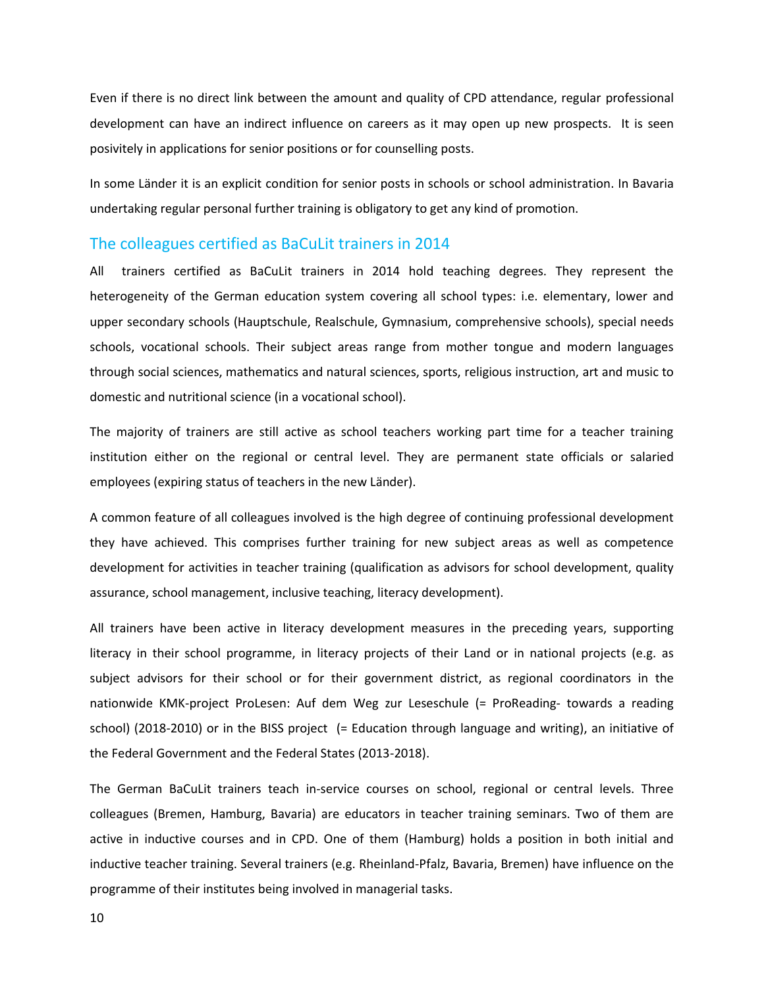Even if there is no direct link between the amount and quality of CPD attendance, regular professional development can have an indirect influence on careers as it may open up new prospects. It is seen posivitely in applications for senior positions or for counselling posts.

In some Länder it is an explicit condition for senior posts in schools or school administration. In Bavaria undertaking regular personal further training is obligatory to get any kind of promotion.

#### The colleagues certified as BaCuLit trainers in 2014

All trainers certified as BaCuLit trainers in 2014 hold teaching degrees. They represent the heterogeneity of the German education system covering all school types: i.e. elementary, lower and upper secondary schools (Hauptschule, Realschule, Gymnasium, comprehensive schools), special needs schools, vocational schools. Their subject areas range from mother tongue and modern languages through social sciences, mathematics and natural sciences, sports, religious instruction, art and music to domestic and nutritional science (in a vocational school).

The majority of trainers are still active as school teachers working part time for a teacher training institution either on the regional or central level. They are permanent state officials or salaried employees (expiring status of teachers in the new Länder).

A common feature of all colleagues involved is the high degree of continuing professional development they have achieved. This comprises further training for new subject areas as well as competence development for activities in teacher training (qualification as advisors for school development, quality assurance, school management, inclusive teaching, literacy development).

All trainers have been active in literacy development measures in the preceding years, supporting literacy in their school programme, in literacy projects of their Land or in national projects (e.g. as subject advisors for their school or for their government district, as regional coordinators in the nationwide KMK-project ProLesen: Auf dem Weg zur Leseschule (= ProReading- towards a reading school) (2018-2010) or in the BISS project (= Education through language and writing), an initiative of the Federal Government and the Federal States (2013-2018).

The German BaCuLit trainers teach in-service courses on school, regional or central levels. Three colleagues (Bremen, Hamburg, Bavaria) are educators in teacher training seminars. Two of them are active in inductive courses and in CPD. One of them (Hamburg) holds a position in both initial and inductive teacher training. Several trainers (e.g. Rheinland-Pfalz, Bavaria, Bremen) have influence on the programme of their institutes being involved in managerial tasks.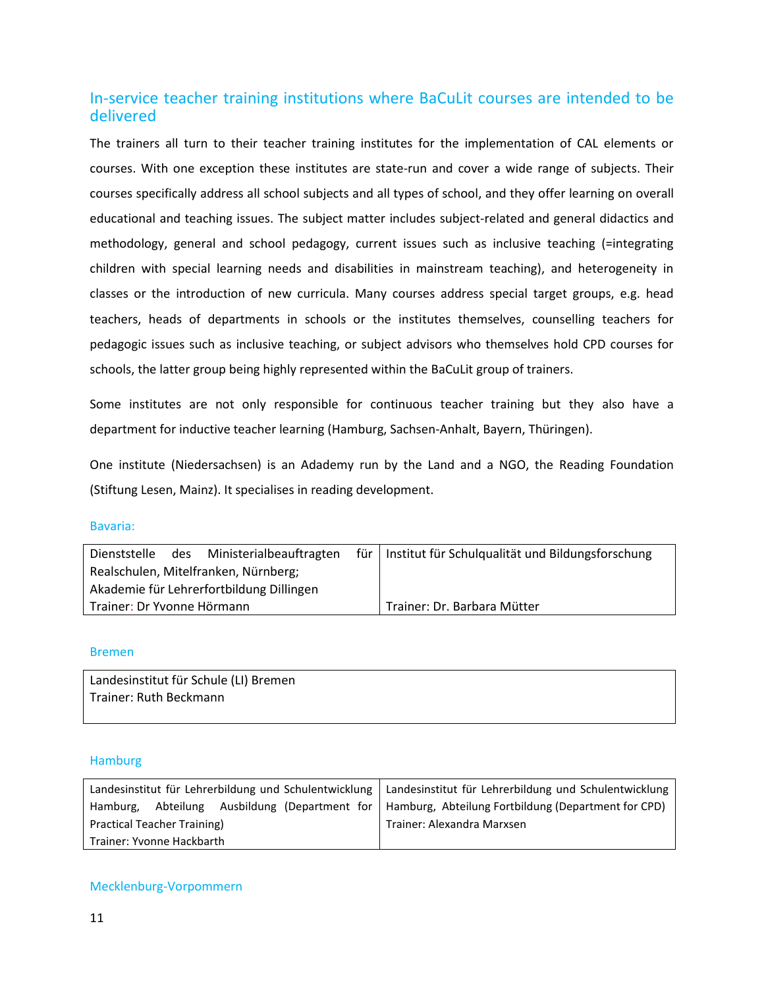## In-service teacher training institutions where BaCuLit courses are intended to be delivered

The trainers all turn to their teacher training institutes for the implementation of CAL elements or courses. With one exception these institutes are state-run and cover a wide range of subjects. Their courses specifically address all school subjects and all types of school, and they offer learning on overall educational and teaching issues. The subject matter includes subject-related and general didactics and methodology, general and school pedagogy, current issues such as inclusive teaching (=integrating children with special learning needs and disabilities in mainstream teaching), and heterogeneity in classes or the introduction of new curricula. Many courses address special target groups, e.g. head teachers, heads of departments in schools or the institutes themselves, counselling teachers for pedagogic issues such as inclusive teaching, or subject advisors who themselves hold CPD courses for schools, the latter group being highly represented within the BaCuLit group of trainers.

Some institutes are not only responsible for continuous teacher training but they also have a department for inductive teacher learning (Hamburg, Sachsen-Anhalt, Bayern, Thüringen).

One institute (Niedersachsen) is an Adademy run by the Land and a NGO, the Reading Foundation (Stiftung Lesen, Mainz). It specialises in reading development.

#### Bavaria:

| Dienststelle                             | des | Ministerialbeauftragten | für I | Institut für Schulqualität und Bildungsforschung |
|------------------------------------------|-----|-------------------------|-------|--------------------------------------------------|
| Realschulen, Mitelfranken, Nürnberg;     |     |                         |       |                                                  |
| Akademie für Lehrerfortbildung Dillingen |     |                         |       |                                                  |
| Trainer: Dr Yvonne Hörmann               |     |                         |       | Trainer: Dr. Barbara Mütter                      |

#### Bremen

Landesinstitut für Schule (LI) Bremen Trainer: Ruth Beckmann

#### Hamburg

|                             |  | Landesinstitut für Lehrerbildung und Schulentwicklung   Landesinstitut für Lehrerbildung und Schulentwicklung |  |  |                                                                                            |
|-----------------------------|--|---------------------------------------------------------------------------------------------------------------|--|--|--------------------------------------------------------------------------------------------|
| Hamburg.                    |  |                                                                                                               |  |  | Abteilung Ausbildung (Department for   Hamburg, Abteilung Fortbildung (Department for CPD) |
| Practical Teacher Training) |  | Trainer: Alexandra Marxsen                                                                                    |  |  |                                                                                            |
| Trainer: Yvonne Hackbarth   |  |                                                                                                               |  |  |                                                                                            |

#### Mecklenburg-Vorpommern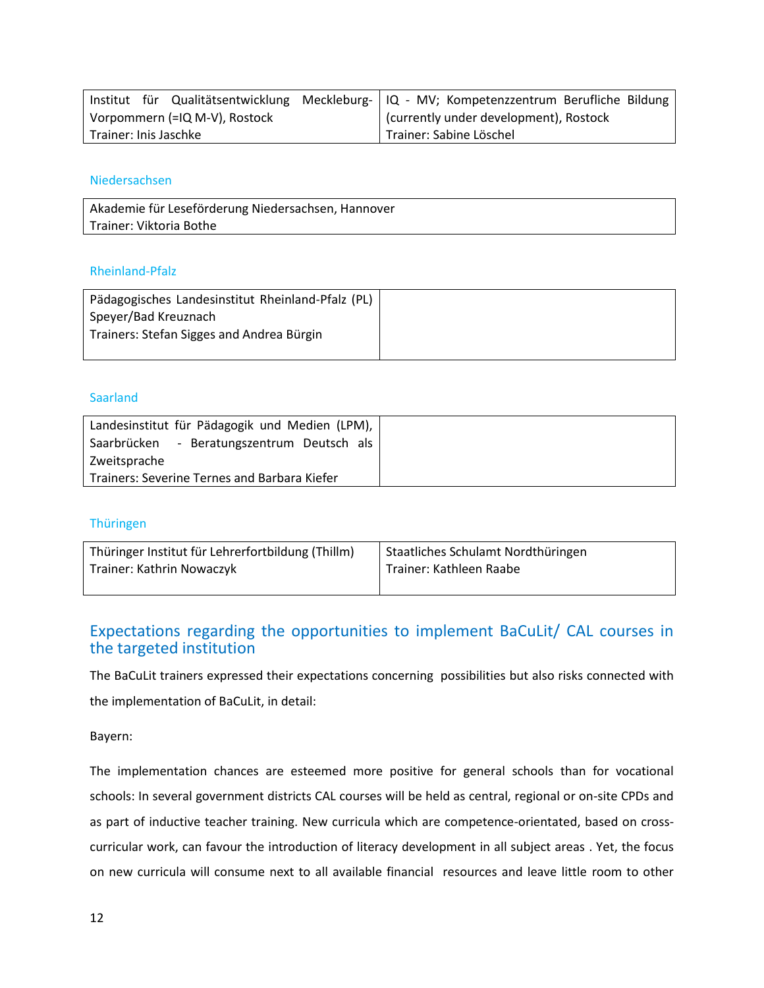|                               |  |  | Institut für Qualitätsentwicklung Meckleburg-   IQ - MV; Kompetenzzentrum Berufliche Bildung |  |  |
|-------------------------------|--|--|----------------------------------------------------------------------------------------------|--|--|
| Vorpommern (=IQ M-V), Rostock |  |  | currently under development), Rostock                                                        |  |  |
| Trainer: Inis Jaschke         |  |  | Trainer: Sabine Löschel                                                                      |  |  |

#### Niedersachsen

Akademie für Leseförderung Niedersachsen, Hannover Trainer: Viktoria Bothe

#### Rheinland-Pfalz

| Pädagogisches Landesinstitut Rheinland-Pfalz (PL) |  |
|---------------------------------------------------|--|
| Speyer/Bad Kreuznach                              |  |
| Trainers: Stefan Sigges and Andrea Bürgin         |  |
|                                                   |  |

#### Saarland

| Landesinstitut für Pädagogik und Medien (LPM), |
|------------------------------------------------|
| - Beratungszentrum Deutsch als<br>Saarbrücken  |
| Zweitsprache                                   |
| Trainers: Severine Ternes and Barbara Kiefer   |

#### Thüringen

| Thüringer Institut für Lehrerfortbildung (Thillm) | Staatliches Schulamt Nordthüringen |
|---------------------------------------------------|------------------------------------|
| Trainer: Kathrin Nowaczyk                         | Trainer: Kathleen Raabe            |

## Expectations regarding the opportunities to implement BaCuLit/ CAL courses in the targeted institution

The BaCuLit trainers expressed their expectations concerning possibilities but also risks connected with the implementation of BaCuLit, in detail:

Bayern:

The implementation chances are esteemed more positive for general schools than for vocational schools: In several government districts CAL courses will be held as central, regional or on-site CPDs and as part of inductive teacher training. New curricula which are competence-orientated, based on crosscurricular work, can favour the introduction of literacy development in all subject areas . Yet, the focus on new curricula will consume next to all available financial resources and leave little room to other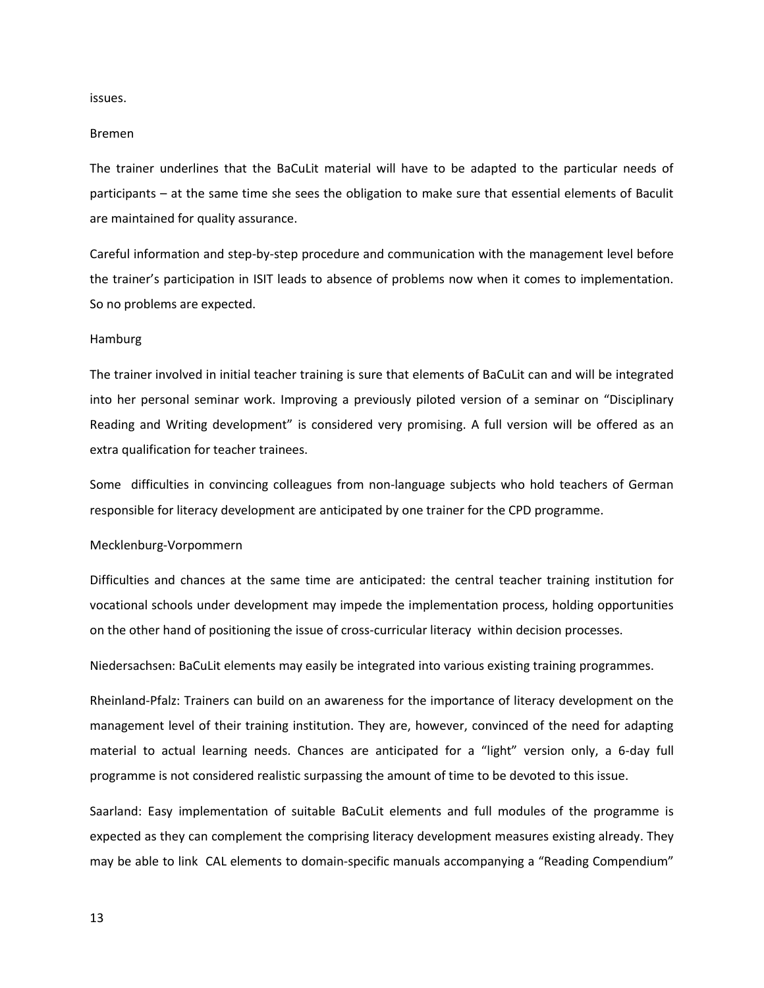issues.

#### Bremen

The trainer underlines that the BaCuLit material will have to be adapted to the particular needs of participants – at the same time she sees the obligation to make sure that essential elements of Baculit are maintained for quality assurance.

Careful information and step-by-step procedure and communication with the management level before the trainer's participation in ISIT leads to absence of problems now when it comes to implementation. So no problems are expected.

#### Hamburg

The trainer involved in initial teacher training is sure that elements of BaCuLit can and will be integrated into her personal seminar work. Improving a previously piloted version of a seminar on "Disciplinary Reading and Writing development" is considered very promising. A full version will be offered as an extra qualification for teacher trainees.

Some difficulties in convincing colleagues from non-language subjects who hold teachers of German responsible for literacy development are anticipated by one trainer for the CPD programme.

#### Mecklenburg-Vorpommern

Difficulties and chances at the same time are anticipated: the central teacher training institution for vocational schools under development may impede the implementation process, holding opportunities on the other hand of positioning the issue of cross-curricular literacy within decision processes.

Niedersachsen: BaCuLit elements may easily be integrated into various existing training programmes.

Rheinland-Pfalz: Trainers can build on an awareness for the importance of literacy development on the management level of their training institution. They are, however, convinced of the need for adapting material to actual learning needs. Chances are anticipated for a "light" version only, a 6-day full programme is not considered realistic surpassing the amount of time to be devoted to this issue.

Saarland: Easy implementation of suitable BaCuLit elements and full modules of the programme is expected as they can complement the comprising literacy development measures existing already. They may be able to link CAL elements to domain-specific manuals accompanying a "Reading Compendium"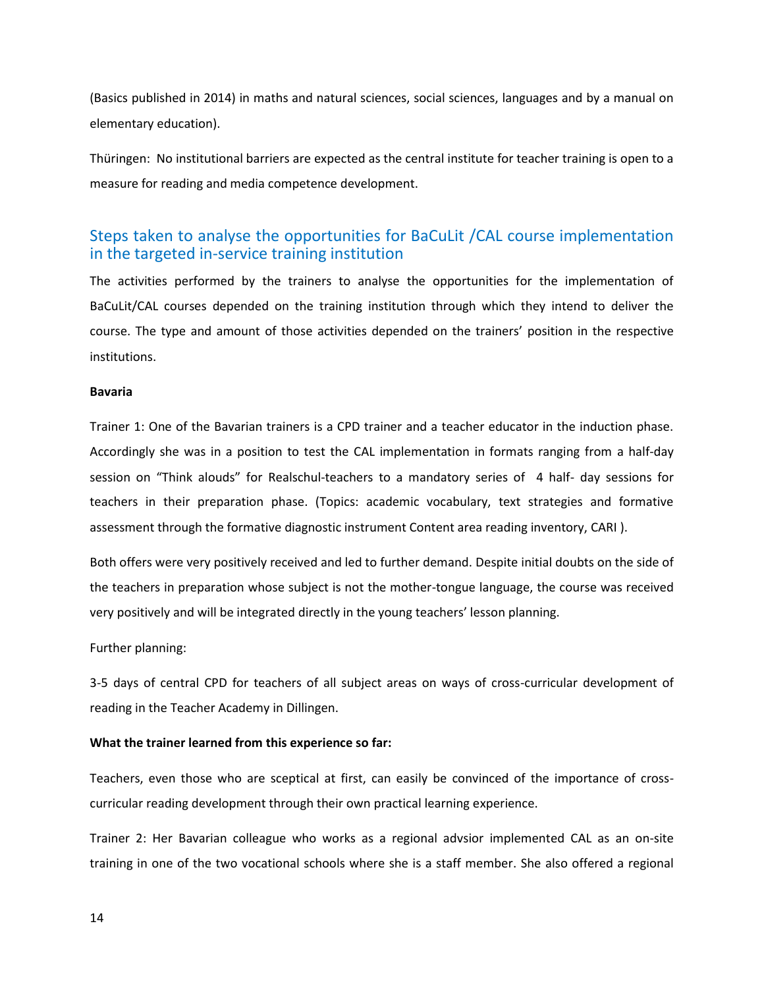(Basics published in 2014) in maths and natural sciences, social sciences, languages and by a manual on elementary education).

Thüringen: No institutional barriers are expected as the central institute for teacher training is open to a measure for reading and media competence development.

## Steps taken to analyse the opportunities for BaCuLit /CAL course implementation in the targeted in-service training institution

The activities performed by the trainers to analyse the opportunities for the implementation of BaCuLit/CAL courses depended on the training institution through which they intend to deliver the course. The type and amount of those activities depended on the trainers' position in the respective institutions.

#### **Bavaria**

Trainer 1: One of the Bavarian trainers is a CPD trainer and a teacher educator in the induction phase. Accordingly she was in a position to test the CAL implementation in formats ranging from a half-day session on "Think alouds" for Realschul-teachers to a mandatory series of 4 half- day sessions for teachers in their preparation phase. (Topics: academic vocabulary, text strategies and formative assessment through the formative diagnostic instrument Content area reading inventory, CARI ).

Both offers were very positively received and led to further demand. Despite initial doubts on the side of the teachers in preparation whose subject is not the mother-tongue language, the course was received very positively and will be integrated directly in the young teachers' lesson planning.

Further planning:

3-5 days of central CPD for teachers of all subject areas on ways of cross-curricular development of reading in the Teacher Academy in Dillingen.

#### **What the trainer learned from this experience so far:**

Teachers, even those who are sceptical at first, can easily be convinced of the importance of crosscurricular reading development through their own practical learning experience.

Trainer 2: Her Bavarian colleague who works as a regional advsior implemented CAL as an on-site training in one of the two vocational schools where she is a staff member. She also offered a regional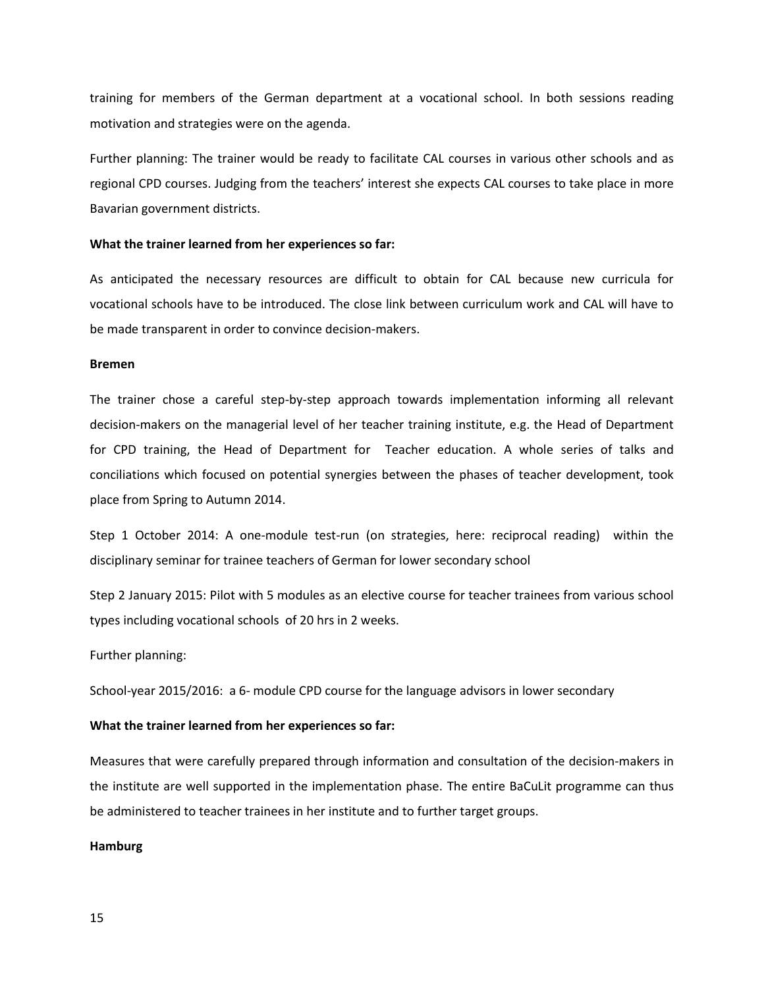training for members of the German department at a vocational school. In both sessions reading motivation and strategies were on the agenda.

Further planning: The trainer would be ready to facilitate CAL courses in various other schools and as regional CPD courses. Judging from the teachers' interest she expects CAL courses to take place in more Bavarian government districts.

#### **What the trainer learned from her experiences so far:**

As anticipated the necessary resources are difficult to obtain for CAL because new curricula for vocational schools have to be introduced. The close link between curriculum work and CAL will have to be made transparent in order to convince decision-makers.

#### **Bremen**

The trainer chose a careful step-by-step approach towards implementation informing all relevant decision-makers on the managerial level of her teacher training institute, e.g. the Head of Department for CPD training, the Head of Department for Teacher education. A whole series of talks and conciliations which focused on potential synergies between the phases of teacher development, took place from Spring to Autumn 2014.

Step 1 October 2014: A one-module test-run (on strategies, here: reciprocal reading) within the disciplinary seminar for trainee teachers of German for lower secondary school

Step 2 January 2015: Pilot with 5 modules as an elective course for teacher trainees from various school types including vocational schools of 20 hrs in 2 weeks.

#### Further planning:

School-year 2015/2016: a 6- module CPD course for the language advisors in lower secondary

#### **What the trainer learned from her experiences so far:**

Measures that were carefully prepared through information and consultation of the decision-makers in the institute are well supported in the implementation phase. The entire BaCuLit programme can thus be administered to teacher trainees in her institute and to further target groups.

#### **Hamburg**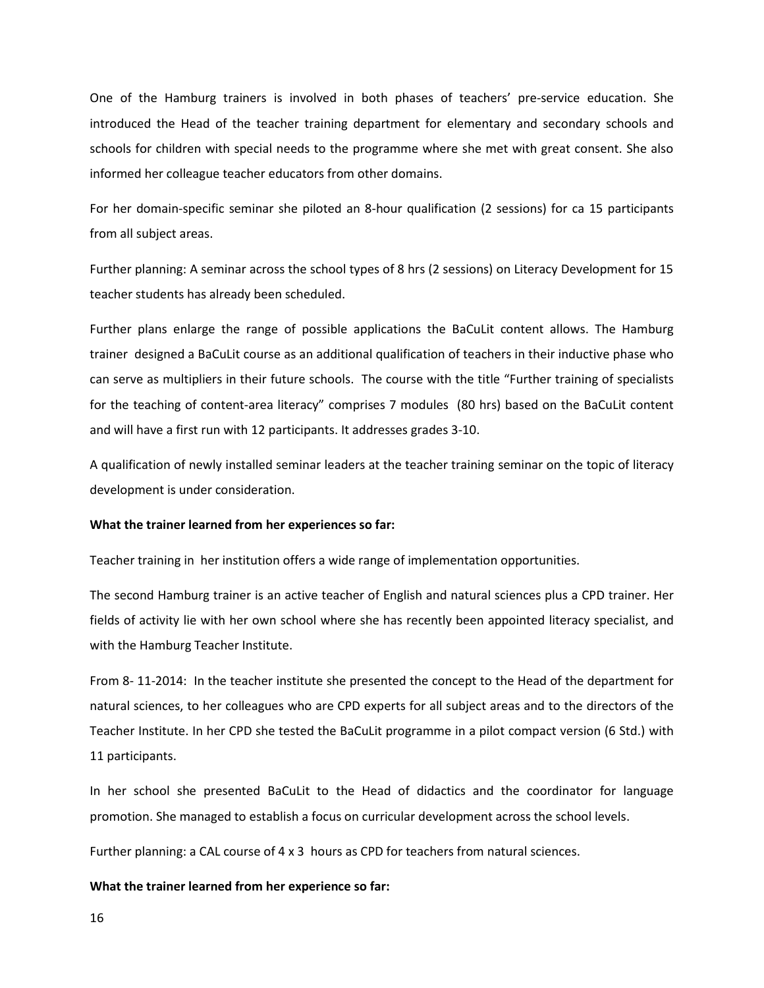One of the Hamburg trainers is involved in both phases of teachers' pre-service education. She introduced the Head of the teacher training department for elementary and secondary schools and schools for children with special needs to the programme where she met with great consent. She also informed her colleague teacher educators from other domains.

For her domain-specific seminar she piloted an 8-hour qualification (2 sessions) for ca 15 participants from all subject areas.

Further planning: A seminar across the school types of 8 hrs (2 sessions) on Literacy Development for 15 teacher students has already been scheduled.

Further plans enlarge the range of possible applications the BaCuLit content allows. The Hamburg trainer designed a BaCuLit course as an additional qualification of teachers in their inductive phase who can serve as multipliers in their future schools. The course with the title "Further training of specialists for the teaching of content-area literacy" comprises 7 modules (80 hrs) based on the BaCuLit content and will have a first run with 12 participants. It addresses grades 3-10.

A qualification of newly installed seminar leaders at the teacher training seminar on the topic of literacy development is under consideration.

#### **What the trainer learned from her experiences so far:**

Teacher training in her institution offers a wide range of implementation opportunities.

The second Hamburg trainer is an active teacher of English and natural sciences plus a CPD trainer. Her fields of activity lie with her own school where she has recently been appointed literacy specialist, and with the Hamburg Teacher Institute.

From 8- 11-2014: In the teacher institute she presented the concept to the Head of the department for natural sciences, to her colleagues who are CPD experts for all subject areas and to the directors of the Teacher Institute. In her CPD she tested the BaCuLit programme in a pilot compact version (6 Std.) with 11 participants.

In her school she presented BaCuLit to the Head of didactics and the coordinator for language promotion. She managed to establish a focus on curricular development across the school levels.

Further planning: a CAL course of 4 x 3 hours as CPD for teachers from natural sciences.

#### **What the trainer learned from her experience so far:**

16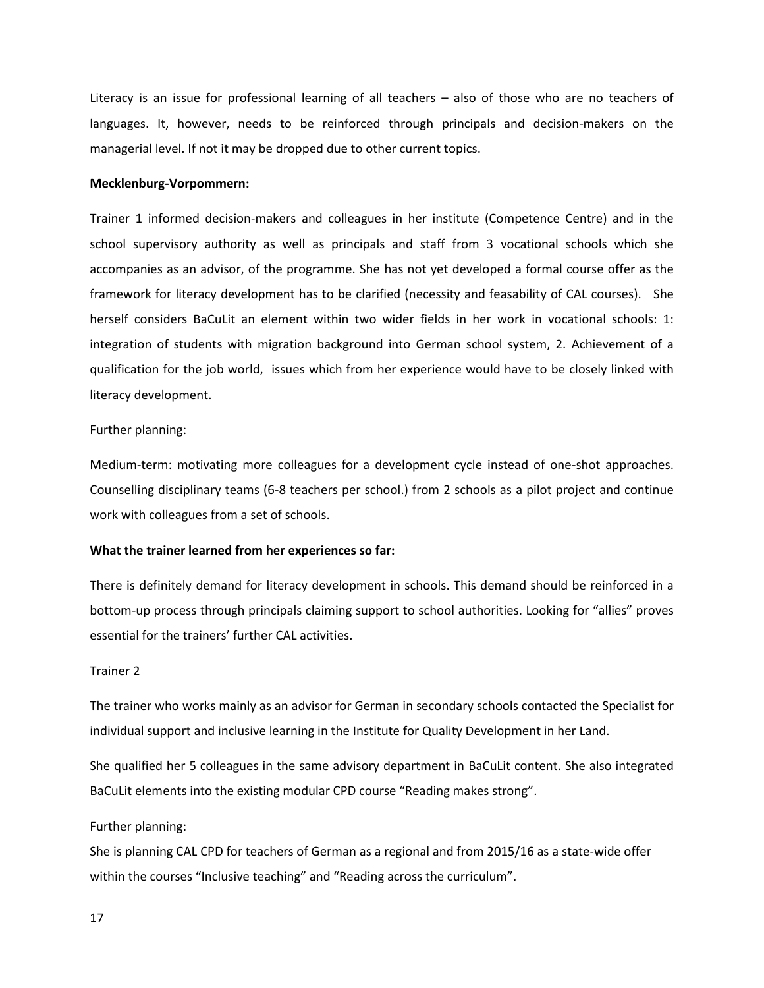Literacy is an issue for professional learning of all teachers – also of those who are no teachers of languages. It, however, needs to be reinforced through principals and decision-makers on the managerial level. If not it may be dropped due to other current topics.

#### **Mecklenburg-Vorpommern:**

Trainer 1 informed decision-makers and colleagues in her institute (Competence Centre) and in the school supervisory authority as well as principals and staff from 3 vocational schools which she accompanies as an advisor, of the programme. She has not yet developed a formal course offer as the framework for literacy development has to be clarified (necessity and feasability of CAL courses). She herself considers BaCuLit an element within two wider fields in her work in vocational schools: 1: integration of students with migration background into German school system, 2. Achievement of a qualification for the job world, issues which from her experience would have to be closely linked with literacy development.

#### Further planning:

Medium-term: motivating more colleagues for a development cycle instead of one-shot approaches. Counselling disciplinary teams (6-8 teachers per school.) from 2 schools as a pilot project and continue work with colleagues from a set of schools.

#### **What the trainer learned from her experiences so far:**

There is definitely demand for literacy development in schools. This demand should be reinforced in a bottom-up process through principals claiming support to school authorities. Looking for "allies" proves essential for the trainers' further CAL activities.

#### Trainer 2

The trainer who works mainly as an advisor for German in secondary schools contacted the Specialist for individual support and inclusive learning in the Institute for Quality Development in her Land.

She qualified her 5 colleagues in the same advisory department in BaCuLit content. She also integrated BaCuLit elements into the existing modular CPD course "Reading makes strong".

#### Further planning:

She is planning CAL CPD for teachers of German as a regional and from 2015/16 as a state-wide offer within the courses "Inclusive teaching" and "Reading across the curriculum".

17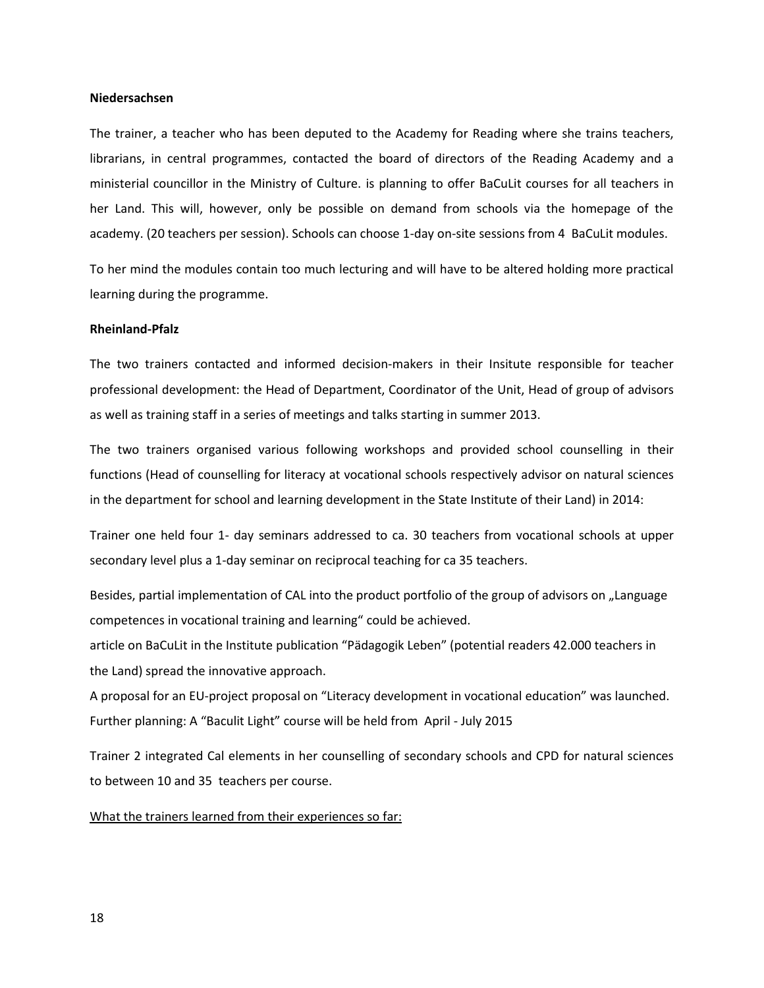#### **Niedersachsen**

The trainer, a teacher who has been deputed to the Academy for Reading where she trains teachers, librarians, in central programmes, contacted the board of directors of the Reading Academy and a ministerial councillor in the Ministry of Culture. is planning to offer BaCuLit courses for all teachers in her Land. This will, however, only be possible on demand from schools via the homepage of the academy. (20 teachers per session). Schools can choose 1-day on-site sessions from 4 BaCuLit modules.

To her mind the modules contain too much lecturing and will have to be altered holding more practical learning during the programme.

#### **Rheinland-Pfalz**

The two trainers contacted and informed decision-makers in their Insitute responsible for teacher professional development: the Head of Department, Coordinator of the Unit, Head of group of advisors as well as training staff in a series of meetings and talks starting in summer 2013.

The two trainers organised various following workshops and provided school counselling in their functions (Head of counselling for literacy at vocational schools respectively advisor on natural sciences in the department for school and learning development in the State Institute of their Land) in 2014:

Trainer one held four 1- day seminars addressed to ca. 30 teachers from vocational schools at upper secondary level plus a 1-day seminar on reciprocal teaching for ca 35 teachers.

Besides, partial implementation of CAL into the product portfolio of the group of advisors on "Language competences in vocational training and learning" could be achieved.

article on BaCuLit in the Institute publication "Pädagogik Leben" (potential readers 42.000 teachers in the Land) spread the innovative approach.

A proposal for an EU-project proposal on "Literacy development in vocational education" was launched. Further planning: A "Baculit Light" course will be held from April - July 2015

Trainer 2 integrated Cal elements in her counselling of secondary schools and CPD for natural sciences to between 10 and 35 teachers per course.

What the trainers learned from their experiences so far: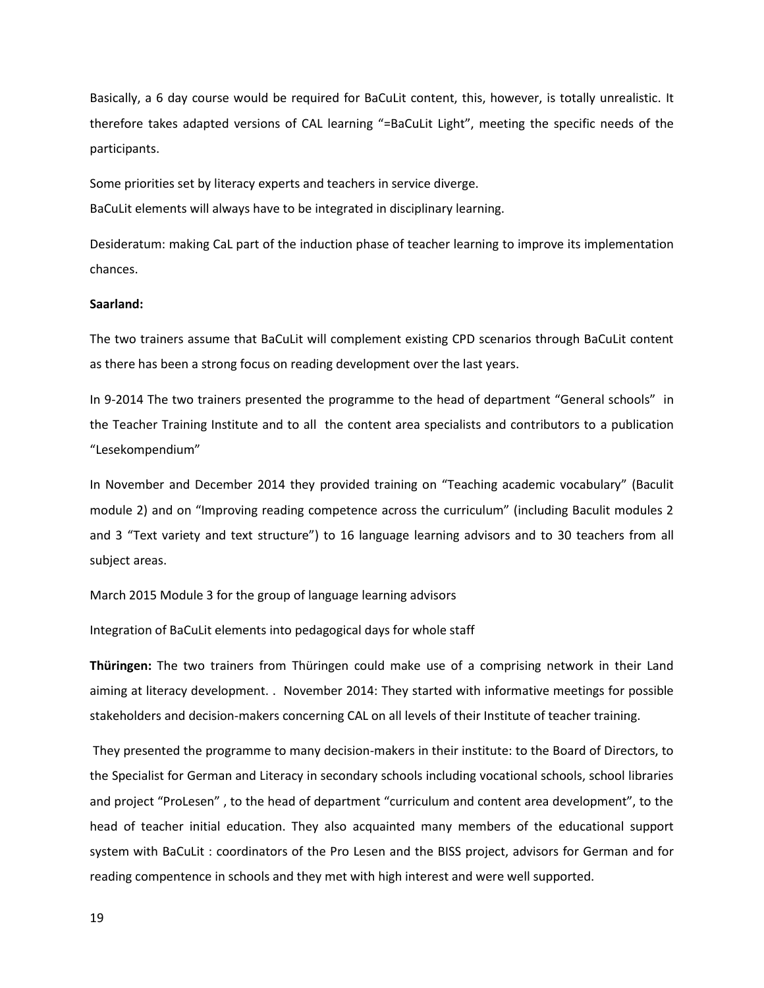Basically, a 6 day course would be required for BaCuLit content, this, however, is totally unrealistic. It therefore takes adapted versions of CAL learning "=BaCuLit Light", meeting the specific needs of the participants.

Some priorities set by literacy experts and teachers in service diverge.

BaCuLit elements will always have to be integrated in disciplinary learning.

Desideratum: making CaL part of the induction phase of teacher learning to improve its implementation chances.

#### **Saarland:**

The two trainers assume that BaCuLit will complement existing CPD scenarios through BaCuLit content as there has been a strong focus on reading development over the last years.

In 9-2014 The two trainers presented the programme to the head of department "General schools" in the Teacher Training Institute and to all the content area specialists and contributors to a publication "Lesekompendium"

In November and December 2014 they provided training on "Teaching academic vocabulary" (Baculit module 2) and on "Improving reading competence across the curriculum" (including Baculit modules 2 and 3 "Text variety and text structure") to 16 language learning advisors and to 30 teachers from all subject areas.

March 2015 Module 3 for the group of language learning advisors

Integration of BaCuLit elements into pedagogical days for whole staff

**Thüringen:** The two trainers from Thüringen could make use of a comprising network in their Land aiming at literacy development. . November 2014: They started with informative meetings for possible stakeholders and decision-makers concerning CAL on all levels of their Institute of teacher training.

They presented the programme to many decision-makers in their institute: to the Board of Directors, to the Specialist for German and Literacy in secondary schools including vocational schools, school libraries and project "ProLesen" , to the head of department "curriculum and content area development", to the head of teacher initial education. They also acquainted many members of the educational support system with BaCuLit : coordinators of the Pro Lesen and the BISS project, advisors for German and for reading compentence in schools and they met with high interest and were well supported.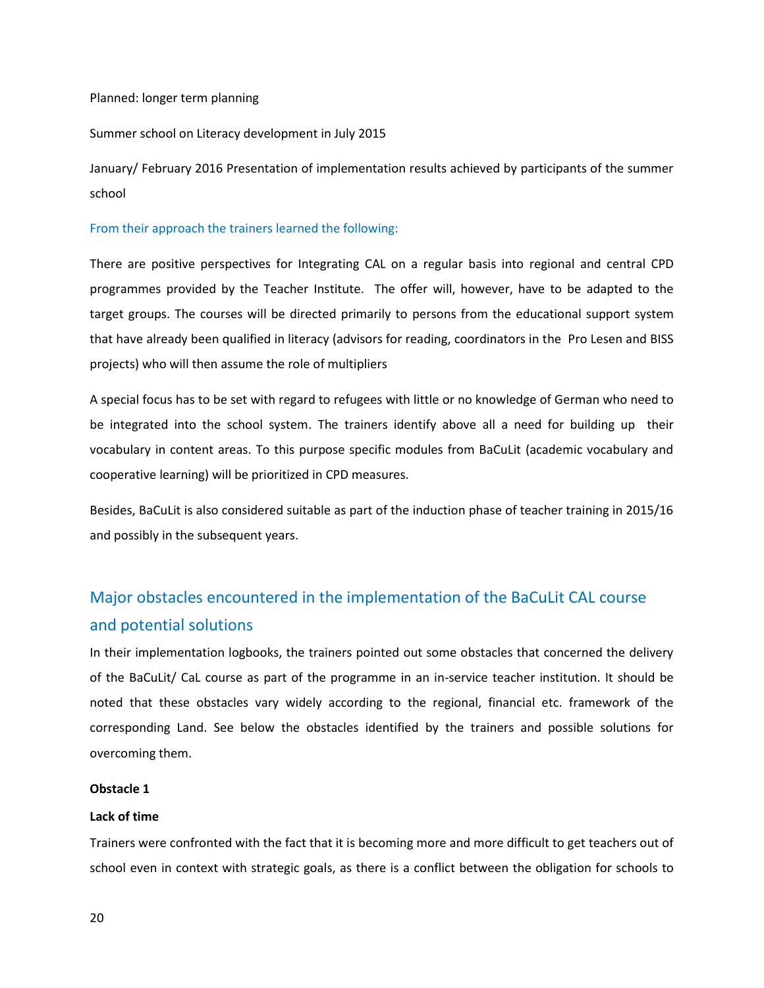#### Planned: longer term planning

#### Summer school on Literacy development in July 2015

January/ February 2016 Presentation of implementation results achieved by participants of the summer school

#### From their approach the trainers learned the following:

There are positive perspectives for Integrating CAL on a regular basis into regional and central CPD programmes provided by the Teacher Institute. The offer will, however, have to be adapted to the target groups. The courses will be directed primarily to persons from the educational support system that have already been qualified in literacy (advisors for reading, coordinators in the Pro Lesen and BISS projects) who will then assume the role of multipliers

A special focus has to be set with regard to refugees with little or no knowledge of German who need to be integrated into the school system. The trainers identify above all a need for building up their vocabulary in content areas. To this purpose specific modules from BaCuLit (academic vocabulary and cooperative learning) will be prioritized in CPD measures.

Besides, BaCuLit is also considered suitable as part of the induction phase of teacher training in 2015/16 and possibly in the subsequent years.

# Major obstacles encountered in the implementation of the BaCuLit CAL course and potential solutions

In their implementation logbooks, the trainers pointed out some obstacles that concerned the delivery of the BaCuLit/ CaL course as part of the programme in an in-service teacher institution. It should be noted that these obstacles vary widely according to the regional, financial etc. framework of the corresponding Land. See below the obstacles identified by the trainers and possible solutions for overcoming them.

#### **Obstacle 1**

#### **Lack of time**

Trainers were confronted with the fact that it is becoming more and more difficult to get teachers out of school even in context with strategic goals, as there is a conflict between the obligation for schools to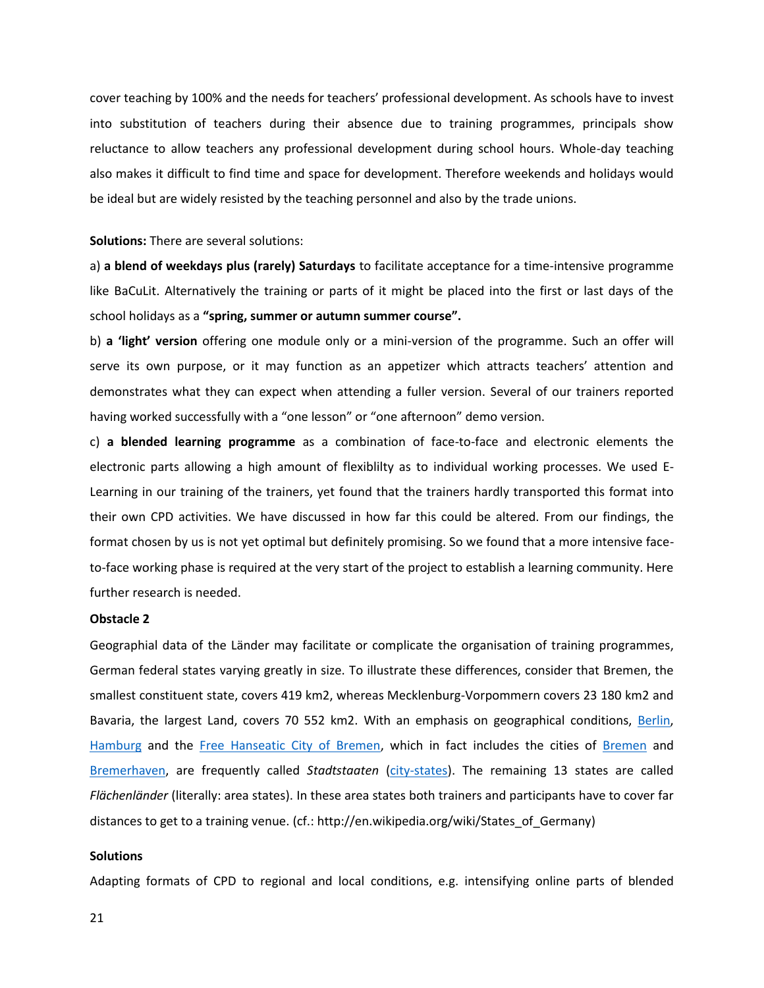cover teaching by 100% and the needs for teachers' professional development. As schools have to invest into substitution of teachers during their absence due to training programmes, principals show reluctance to allow teachers any professional development during school hours. Whole-day teaching also makes it difficult to find time and space for development. Therefore weekends and holidays would be ideal but are widely resisted by the teaching personnel and also by the trade unions.

#### **Solutions:** There are several solutions:

a) **a blend of weekdays plus (rarely) Saturdays** to facilitate acceptance for a time-intensive programme like BaCuLit. Alternatively the training or parts of it might be placed into the first or last days of the school holidays as a **"spring, summer or autumn summer course".**

b) **a 'light' version** offering one module only or a mini-version of the programme. Such an offer will serve its own purpose, or it may function as an appetizer which attracts teachers' attention and demonstrates what they can expect when attending a fuller version. Several of our trainers reported having worked successfully with a "one lesson" or "one afternoon" demo version.

c) **a blended learning programme** as a combination of face-to-face and electronic elements the electronic parts allowing a high amount of flexiblilty as to individual working processes. We used E-Learning in our training of the trainers, yet found that the trainers hardly transported this format into their own CPD activities. We have discussed in how far this could be altered. From our findings, the format chosen by us is not yet optimal but definitely promising. So we found that a more intensive faceto-face working phase is required at the very start of the project to establish a learning community. Here further research is needed.

#### **Obstacle 2**

Geographial data of the Länder may facilitate or complicate the organisation of training programmes, German federal states varying greatly in size. To illustrate these differences, consider that Bremen, the smallest constituent state, covers 419 km2, whereas Mecklenburg-Vorpommern covers 23 180 km2 and Bavaria, the largest Land, covers 70 552 km2. With an emphasis on geographical conditions, [Berlin,](http://en.wikipedia.org/wiki/Berlin) [Hamburg](http://en.wikipedia.org/wiki/Hamburg) and the [Free Hanseatic City of Bremen,](http://en.wikipedia.org/wiki/Bremen_%28state%29) which in fact includes the cities of [Bremen](http://en.wikipedia.org/wiki/Bremen) and [Bremerhaven,](http://en.wikipedia.org/wiki/Bremerhaven) are frequently called *Stadtstaaten* [\(city-states\)](http://en.wikipedia.org/wiki/City-state). The remaining 13 states are called *Flächenländer* (literally: area states). In these area states both trainers and participants have to cover far distances to get to a training venue. (cf.: http://en.wikipedia.org/wiki/States\_of\_Germany)

#### **Solutions**

Adapting formats of CPD to regional and local conditions, e.g. intensifying online parts of blended

21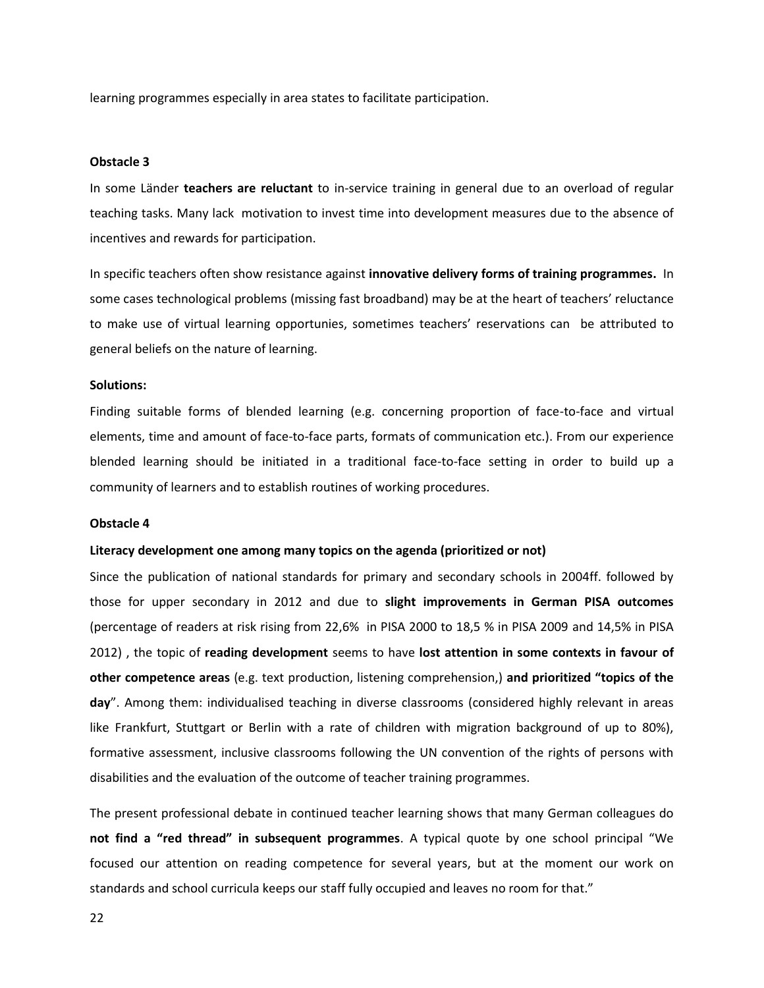learning programmes especially in area states to facilitate participation.

#### **Obstacle 3**

In some Länder **teachers are reluctant** to in-service training in general due to an overload of regular teaching tasks. Many lack motivation to invest time into development measures due to the absence of incentives and rewards for participation.

In specific teachers often show resistance against **innovative delivery forms of training programmes.** In some cases technological problems (missing fast broadband) may be at the heart of teachers' reluctance to make use of virtual learning opportunies, sometimes teachers' reservations can be attributed to general beliefs on the nature of learning.

#### **Solutions:**

Finding suitable forms of blended learning (e.g. concerning proportion of face-to-face and virtual elements, time and amount of face-to-face parts, formats of communication etc.). From our experience blended learning should be initiated in a traditional face-to-face setting in order to build up a community of learners and to establish routines of working procedures.

#### **Obstacle 4**

#### **Literacy development one among many topics on the agenda (prioritized or not)**

Since the publication of national standards for primary and secondary schools in 2004ff. followed by those for upper secondary in 2012 and due to **slight improvements in German PISA outcomes** (percentage of readers at risk rising from 22,6% in PISA 2000 to 18,5 % in PISA 2009 and 14,5% in PISA 2012) , the topic of **reading development** seems to have **lost attention in some contexts in favour of other competence areas** (e.g. text production, listening comprehension,) **and prioritized "topics of the day**". Among them: individualised teaching in diverse classrooms (considered highly relevant in areas like Frankfurt, Stuttgart or Berlin with a rate of children with migration background of up to 80%), formative assessment, inclusive classrooms following the UN convention of the rights of persons with disabilities and the evaluation of the outcome of teacher training programmes.

The present professional debate in continued teacher learning shows that many German colleagues do **not find a "red thread" in subsequent programmes**. A typical quote by one school principal "We focused our attention on reading competence for several years, but at the moment our work on standards and school curricula keeps our staff fully occupied and leaves no room for that."

22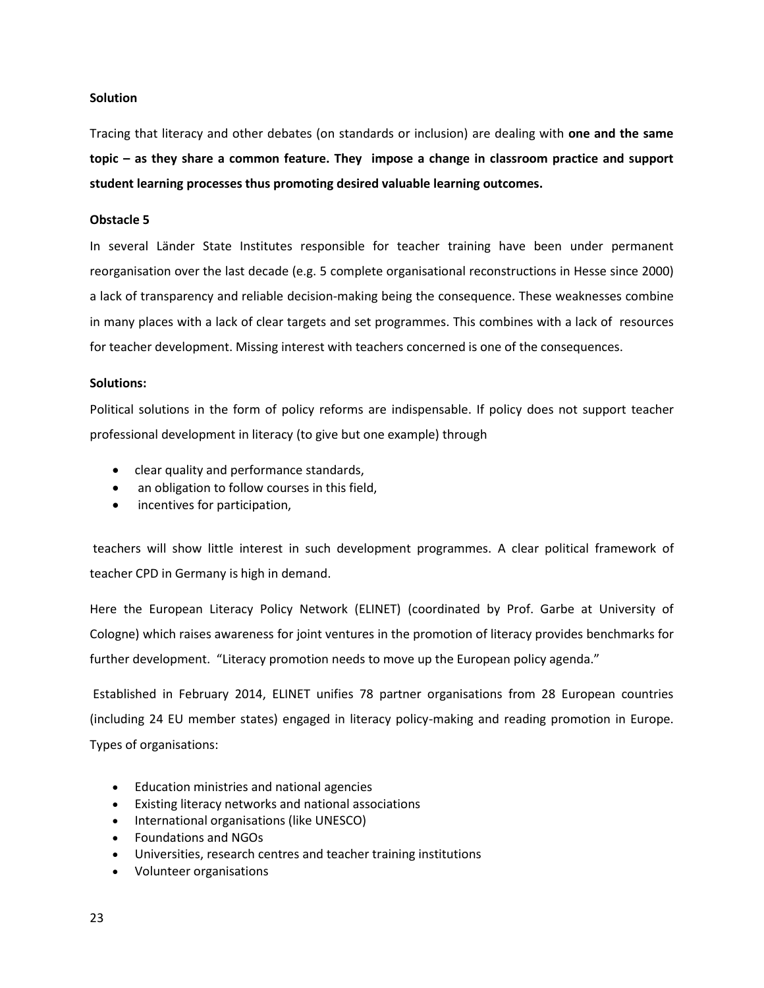#### **Solution**

Tracing that literacy and other debates (on standards or inclusion) are dealing with **one and the same topic – as they share a common feature. They impose a change in classroom practice and support student learning processes thus promoting desired valuable learning outcomes.**

#### **Obstacle 5**

In several Länder State Institutes responsible for teacher training have been under permanent reorganisation over the last decade (e.g. 5 complete organisational reconstructions in Hesse since 2000) a lack of transparency and reliable decision-making being the consequence. These weaknesses combine in many places with a lack of clear targets and set programmes. This combines with a lack of resources for teacher development. Missing interest with teachers concerned is one of the consequences.

#### **Solutions:**

Political solutions in the form of policy reforms are indispensable. If policy does not support teacher professional development in literacy (to give but one example) through

- clear quality and performance standards,
- an obligation to follow courses in this field,
- incentives for participation,

teachers will show little interest in such development programmes. A clear political framework of teacher CPD in Germany is high in demand.

Here the European Literacy Policy Network (ELINET) (coordinated by Prof. Garbe at University of Cologne) which raises awareness for joint ventures in the promotion of literacy provides benchmarks for further development. "Literacy promotion needs to move up the European policy agenda."

Established in February 2014, ELINET unifies 78 partner organisations from 28 European countries (including 24 EU member states) engaged in literacy policy-making and reading promotion in Europe. Types of organisations:

- Education ministries and national agencies
- Existing literacy networks and national associations
- International organisations (like UNESCO)
- Foundations and NGOs
- Universities, research centres and teacher training institutions
- Volunteer organisations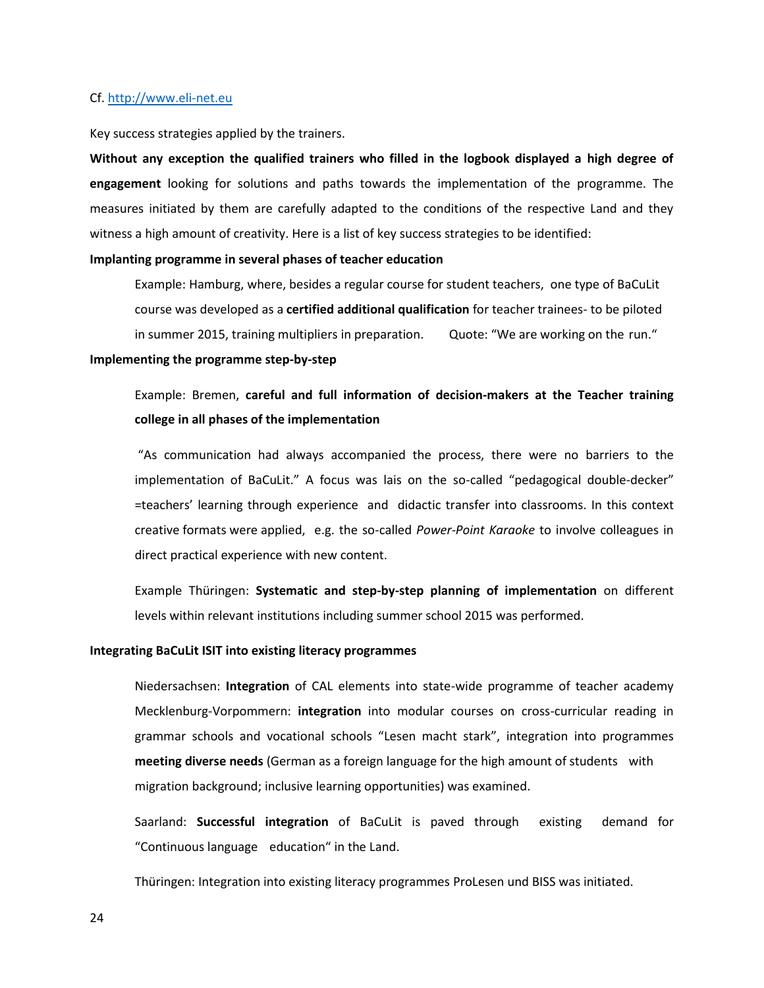#### Cf[. http://www.eli-net.eu](http://www.eli-net.eu/)

Key success strategies applied by the trainers.

**Without any exception the qualified trainers who filled in the logbook displayed a high degree of engagement** looking for solutions and paths towards the implementation of the programme. The measures initiated by them are carefully adapted to the conditions of the respective Land and they witness a high amount of creativity. Here is a list of key success strategies to be identified:

#### **Implanting programme in several phases of teacher education**

Example: Hamburg, where, besides a regular course for student teachers, one type of BaCuLit course was developed as a **certified additional qualification** for teacher trainees- to be piloted in summer 2015, training multipliers in preparation. Quote: "We are working on the run."

#### **Implementing the programme step-by-step**

Example: Bremen, **careful and full information of decision-makers at the Teacher training college in all phases of the implementation**

"As communication had always accompanied the process, there were no barriers to the implementation of BaCuLit." A focus was lais on the so-called "pedagogical double-decker" =teachers' learning through experience and didactic transfer into classrooms. In this context creative formats were applied, e.g. the so-called *Power-Point Karaoke* to involve colleagues in direct practical experience with new content.

Example Thüringen: **Systematic and step-by-step planning of implementation** on different levels within relevant institutions including summer school 2015 was performed.

#### **Integrating BaCuLit ISIT into existing literacy programmes**

Niedersachsen: **Integration** of CAL elements into state-wide programme of teacher academy Mecklenburg-Vorpommern: **integration** into modular courses on cross-curricular reading in grammar schools and vocational schools "Lesen macht stark", integration into programmes **meeting diverse needs** (German as a foreign language for the high amount of students with migration background; inclusive learning opportunities) was examined.

Saarland: **Successful integration** of BaCuLit is paved through existing demand for "Continuous language education" in the Land.

Thüringen: Integration into existing literacy programmes ProLesen und BISS was initiated.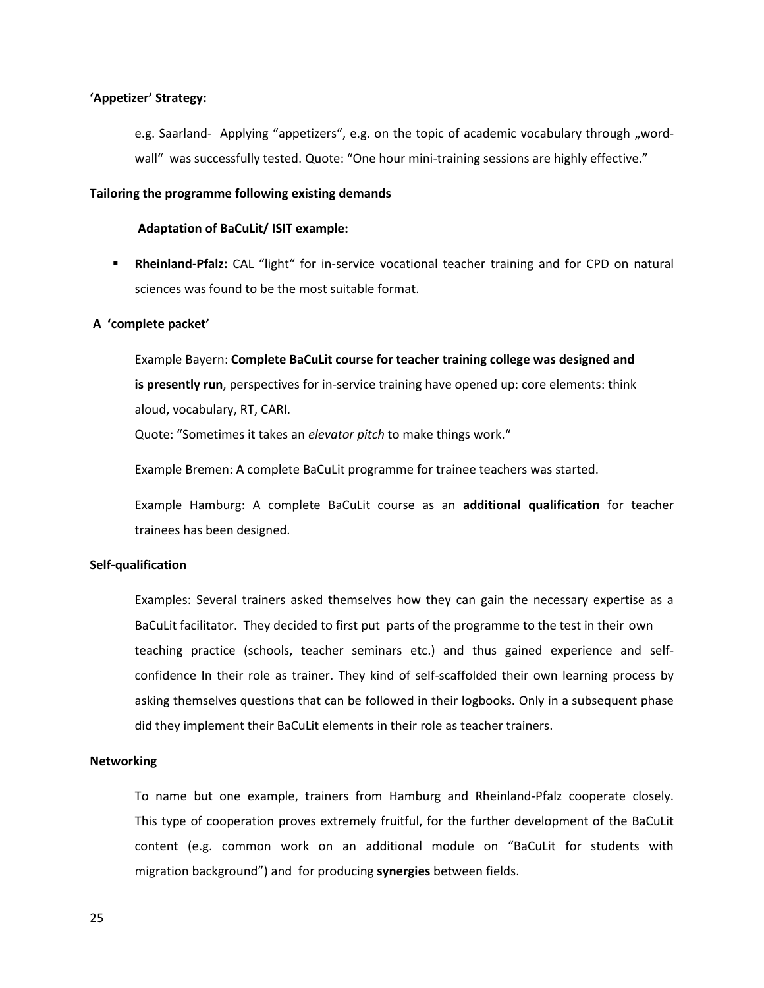#### **'Appetizer' Strategy:**

e.g. Saarland- Applying "appetizers", e.g. on the topic of academic vocabulary through "wordwall" was successfully tested. Quote: "One hour mini-training sessions are highly effective."

#### **Tailoring the programme following existing demands**

#### **Adaptation of BaCuLit/ ISIT example:**

**Rheinland-Pfalz:** CAL "light" for in-service vocational teacher training and for CPD on natural sciences was found to be the most suitable format.

#### **A 'complete packet'**

Example Bayern: **Complete BaCuLit course for teacher training college was designed and is presently run**, perspectives for in-service training have opened up: core elements: think aloud, vocabulary, RT, CARI.

Quote: "Sometimes it takes an *elevator pitch* to make things work."

Example Bremen: A complete BaCuLit programme for trainee teachers was started.

Example Hamburg: A complete BaCuLit course as an **additional qualification** for teacher trainees has been designed.

#### **Self-qualification**

Examples: Several trainers asked themselves how they can gain the necessary expertise as a BaCuLit facilitator. They decided to first put parts of the programme to the test in their own teaching practice (schools, teacher seminars etc.) and thus gained experience and selfconfidence In their role as trainer. They kind of self-scaffolded their own learning process by asking themselves questions that can be followed in their logbooks. Only in a subsequent phase did they implement their BaCuLit elements in their role as teacher trainers.

#### **Networking**

To name but one example, trainers from Hamburg and Rheinland-Pfalz cooperate closely. This type of cooperation proves extremely fruitful, for the further development of the BaCuLit content (e.g. common work on an additional module on "BaCuLit for students with migration background") and for producing **synergies** between fields.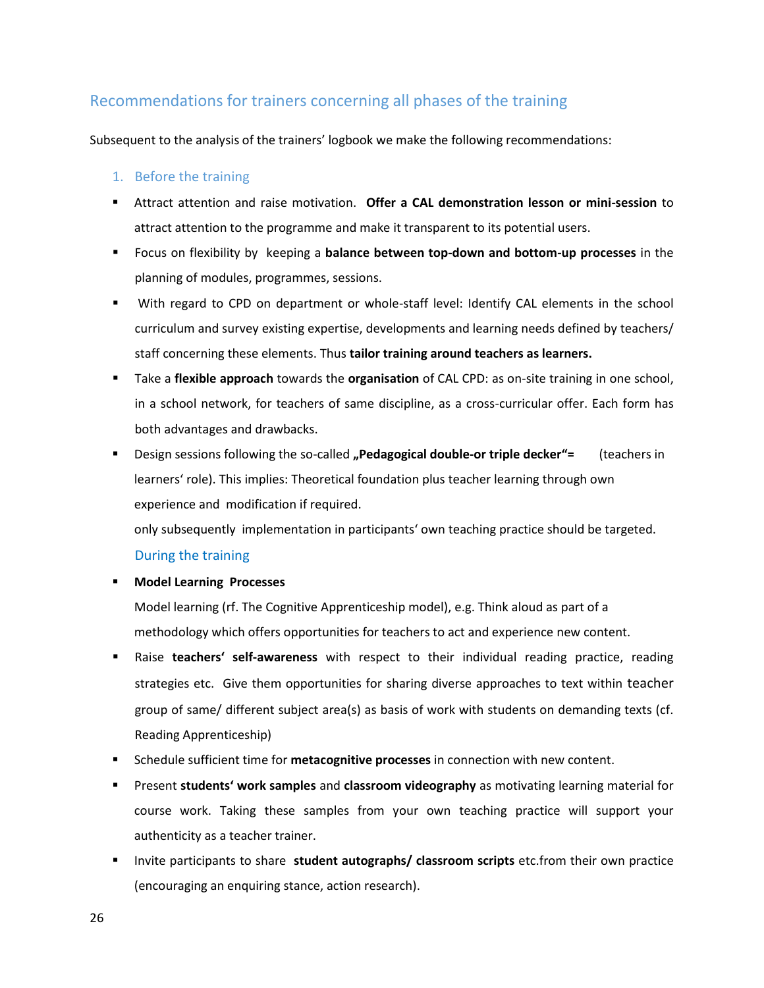## Recommendations for trainers concerning all phases of the training

Subsequent to the analysis of the trainers' logbook we make the following recommendations:

#### 1. Before the training

- Attract attention and raise motivation. **Offer a CAL demonstration lesson or mini-session** to attract attention to the programme and make it transparent to its potential users.
- Focus on flexibility by keeping a **balance between top-down and bottom-up processes** in the planning of modules, programmes, sessions.
- With regard to CPD on department or whole-staff level: Identify CAL elements in the school curriculum and survey existing expertise, developments and learning needs defined by teachers/ staff concerning these elements. Thus **tailor training around teachers as learners.**
- Take a **flexible approach** towards the **organisation** of CAL CPD: as on-site training in one school, in a school network, for teachers of same discipline, as a cross-curricular offer. Each form has both advantages and drawbacks.
- Design sessions following the so-called **"Pedagogical double-or triple decker"**= (teachers in learners' role). This implies: Theoretical foundation plus teacher learning through own experience and modification if required.

only subsequently implementation in participants' own teaching practice should be targeted.

#### During the training

**Model Learning Processes** 

Model learning (rf. The Cognitive Apprenticeship model), e.g. Think aloud as part of a methodology which offers opportunities for teachers to act and experience new content.

- Raise **teachers' self-awareness** with respect to their individual reading practice, reading strategies etc. Give them opportunities for sharing diverse approaches to text within teacher group of same/ different subject area(s) as basis of work with students on demanding texts (cf. Reading Apprenticeship)
- Schedule sufficient time for **metacognitive processes** in connection with new content.
- Present **students' work samples** and **classroom videography** as motivating learning material for course work. Taking these samples from your own teaching practice will support your authenticity as a teacher trainer.
- **Invite participants to share student autographs/ classroom scripts** etc.from their own practice (encouraging an enquiring stance, action research).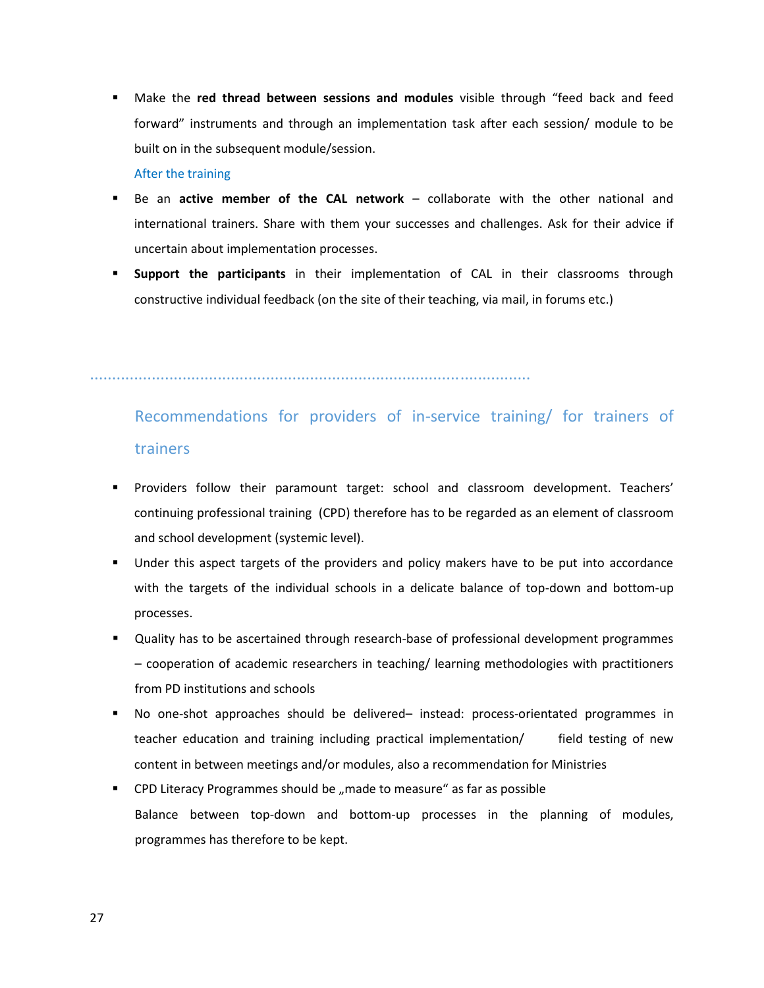Make the **red thread between sessions and modules** visible through "feed back and feed forward" instruments and through an implementation task after each session/ module to be built on in the subsequent module/session.

#### After the training

- Be an **active member of the CAL network** collaborate with the other national and international trainers. Share with them your successes and challenges. Ask for their advice if uncertain about implementation processes.
- **Support the participants** in their implementation of CAL in their classrooms through constructive individual feedback (on the site of their teaching, via mail, in forums etc.)

....................................................................................................

# Recommendations for providers of in-service training/ for trainers of trainers

- Providers follow their paramount target: school and classroom development. Teachers' continuing professional training (CPD) therefore has to be regarded as an element of classroom and school development (systemic level).
- Under this aspect targets of the providers and policy makers have to be put into accordance with the targets of the individual schools in a delicate balance of top-down and bottom-up processes.
- Quality has to be ascertained through research-base of professional development programmes – cooperation of academic researchers in teaching/ learning methodologies with practitioners from PD institutions and schools
- No one-shot approaches should be delivered– instead: process-orientated programmes in teacher education and training including practical implementation/ field testing of new content in between meetings and/or modules, also a recommendation for Ministries
- CPD Literacy Programmes should be "made to measure" as far as possible Balance between top-down and bottom-up processes in the planning of modules, programmes has therefore to be kept.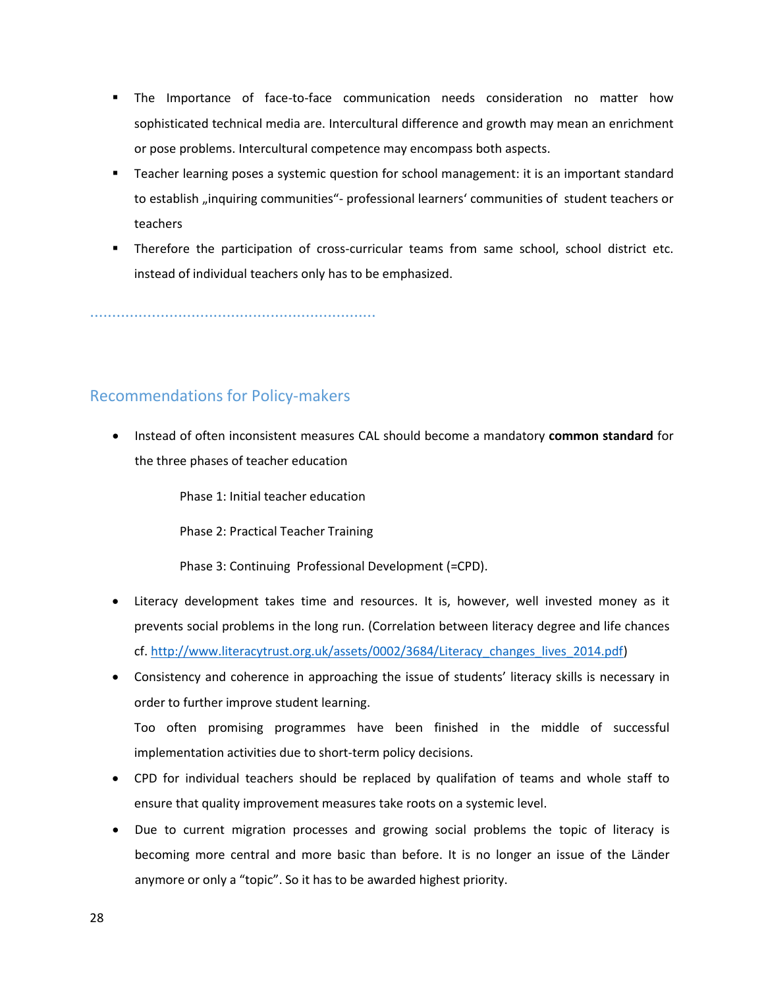- The Importance of face-to-face communication needs consideration no matter how sophisticated technical media are. Intercultural difference and growth may mean an enrichment or pose problems. Intercultural competence may encompass both aspects.
- Teacher learning poses a systemic question for school management: it is an important standard to establish "inquiring communities"- professional learners' communities of student teachers or teachers
- Therefore the participation of cross-curricular teams from same school, school district etc. instead of individual teachers only has to be emphasized.

.................................................................

## Recommendations for Policy-makers

 Instead of often inconsistent measures CAL should become a mandatory **common standard** for the three phases of teacher education

Phase 1: Initial teacher education

Phase 2: Practical Teacher Training

Phase 3: Continuing Professional Development (=CPD).

- Literacy development takes time and resources. It is, however, well invested money as it prevents social problems in the long run. (Correlation between literacy degree and life chances cf. [http://www.literacytrust.org.uk/assets/0002/3684/Literacy\\_changes\\_lives\\_2014.pdf\)](http://www.literacytrust.org.uk/assets/0002/3684/Literacy_changes_lives_2014.pdf)
- Consistency and coherence in approaching the issue of students' literacy skills is necessary in order to further improve student learning.

Too often promising programmes have been finished in the middle of successful implementation activities due to short-term policy decisions.

- CPD for individual teachers should be replaced by qualifation of teams and whole staff to ensure that quality improvement measures take roots on a systemic level.
- Due to current migration processes and growing social problems the topic of literacy is becoming more central and more basic than before. It is no longer an issue of the Länder anymore or only a "topic". So it has to be awarded highest priority.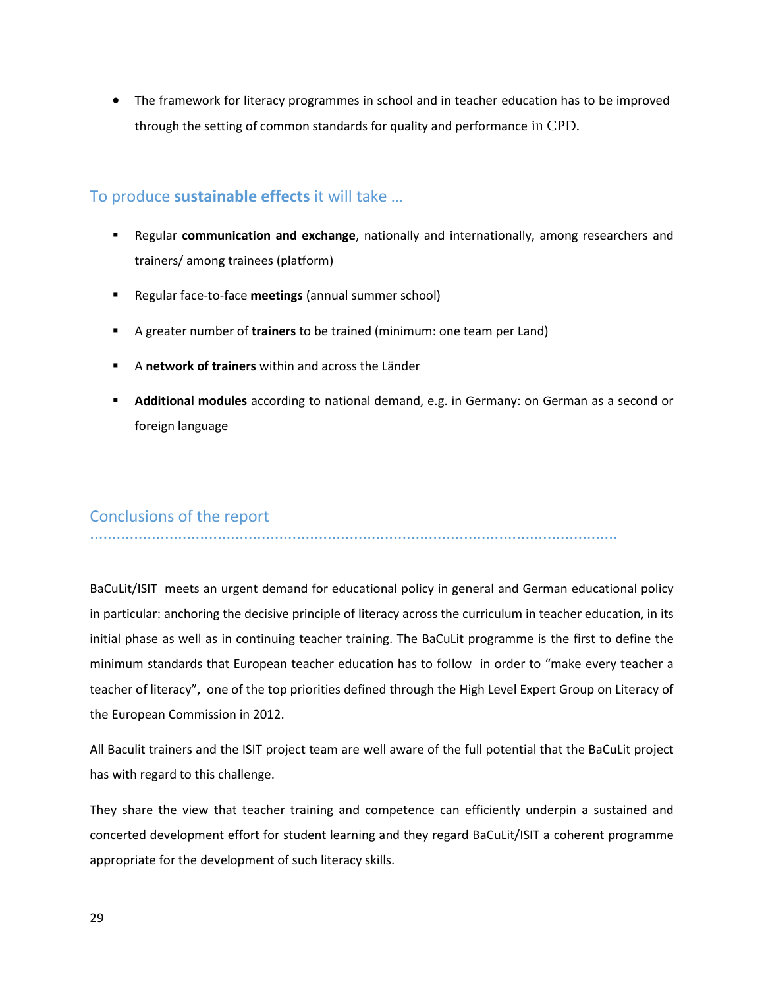The framework for literacy programmes in school and in teacher education has to be improved through the setting of common standards for quality and performance in CPD.

## To produce **sustainable effects** it will take …

- Regular **communication and exchange**, nationally and internationally, among researchers and trainers/ among trainees (platform)
- Regular face-to-face **meetings** (annual summer school)
- A greater number of **trainers** to be trained (minimum: one team per Land)
- A **network of trainers** within and across the Länder
- **Additional modules** according to national demand, e.g. in Germany: on German as a second or foreign language

## Conclusions of the report

........................................................................................................................

BaCuLit/ISIT meets an urgent demand for educational policy in general and German educational policy in particular: anchoring the decisive principle of literacy across the curriculum in teacher education, in its initial phase as well as in continuing teacher training. The BaCuLit programme is the first to define the minimum standards that European teacher education has to follow in order to "make every teacher a teacher of literacy", one of the top priorities defined through the High Level Expert Group on Literacy of the European Commission in 2012.

All Baculit trainers and the ISIT project team are well aware of the full potential that the BaCuLit project has with regard to this challenge.

They share the view that teacher training and competence can efficiently underpin a sustained and concerted development effort for student learning and they regard BaCuLit/ISIT a coherent programme appropriate for the development of such literacy skills.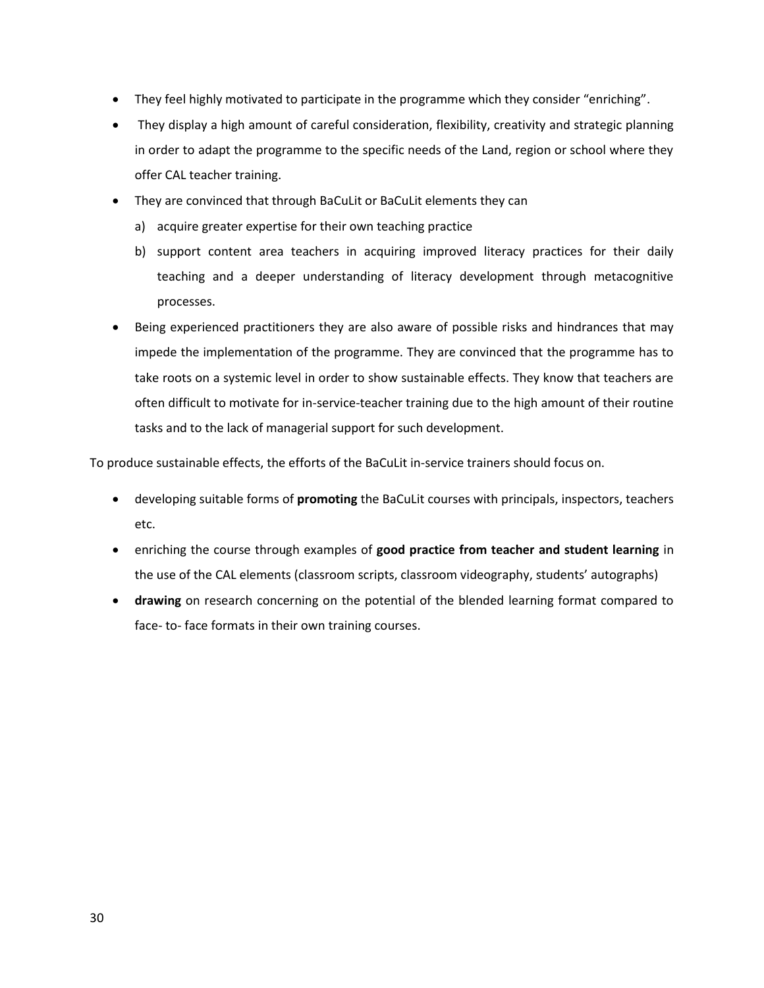- They feel highly motivated to participate in the programme which they consider "enriching".
- They display a high amount of careful consideration, flexibility, creativity and strategic planning in order to adapt the programme to the specific needs of the Land, region or school where they offer CAL teacher training.
- They are convinced that through BaCuLit or BaCuLit elements they can
	- a) acquire greater expertise for their own teaching practice
	- b) support content area teachers in acquiring improved literacy practices for their daily teaching and a deeper understanding of literacy development through metacognitive processes.
- Being experienced practitioners they are also aware of possible risks and hindrances that may impede the implementation of the programme. They are convinced that the programme has to take roots on a systemic level in order to show sustainable effects. They know that teachers are often difficult to motivate for in-service-teacher training due to the high amount of their routine tasks and to the lack of managerial support for such development.

To produce sustainable effects, the efforts of the BaCuLit in-service trainers should focus on.

- developing suitable forms of **promoting** the BaCuLit courses with principals, inspectors, teachers etc.
- enriching the course through examples of **good practice from teacher and student learning** in the use of the CAL elements (classroom scripts, classroom videography, students' autographs)
- **drawing** on research concerning on the potential of the blended learning format compared to face- to- face formats in their own training courses.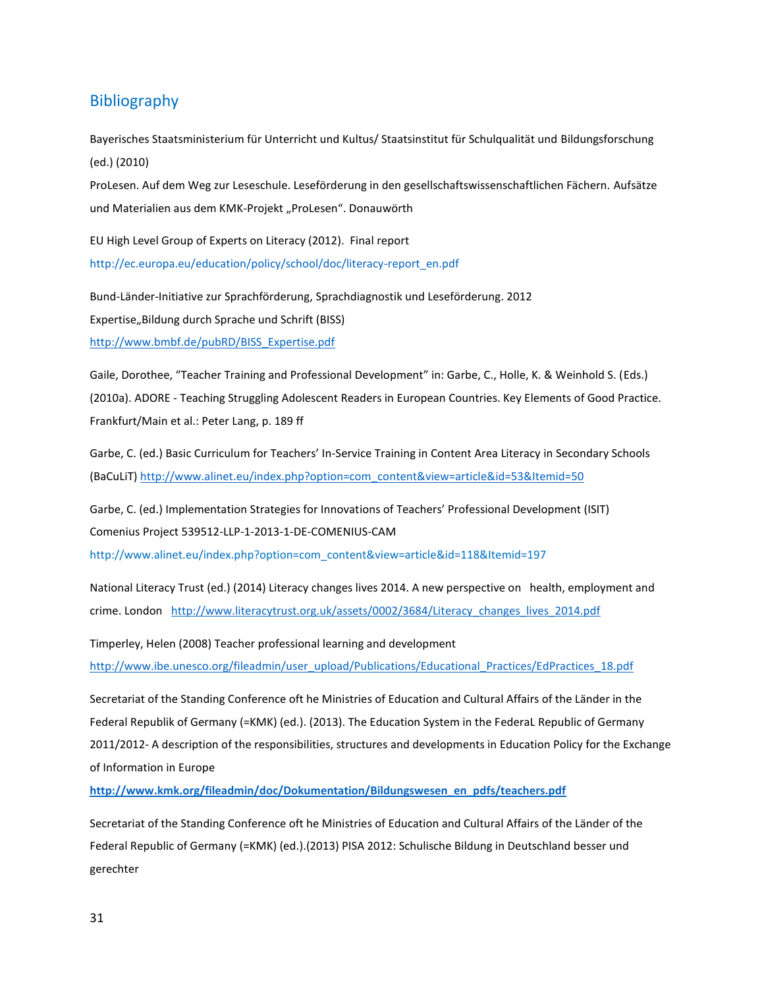## Bibliography

Bayerisches Staatsministerium für Unterricht und Kultus/ Staatsinstitut für Schulqualität und Bildungsforschung (ed.) (2010)

ProLesen. Auf dem Weg zur Leseschule. Leseförderung in den gesellschaftswissenschaftlichen Fächern. Aufsätze und Materialien aus dem KMK-Projekt "ProLesen". Donauwörth

EU High Level Group of Experts on Literacy (2012). Final report [http://ec.europa.eu/education/policy/school/doc/literacy-report\\_en.pdf](http://ec.europa.eu/education/policy/school/doc/literacy-report_en.pdf)

Bund-Länder-Initiative zur Sprachförderung, Sprachdiagnostik und Leseförderung. 2012 Expertise, Bildung durch Sprache und Schrift (BISS) [http://www.bmbf.de/pubRD/BISS\\_Expertise.pdf](http://www.bmbf.de/pubRD/BISS_Expertise.pdf)

Gaile, Dorothee, "Teacher Training and Professional Development" in: Garbe, C., Holle, K. & Weinhold S. (Eds.) (2010a). ADORE - Teaching Struggling Adolescent Readers in European Countries. Key Elements of Good Practice. Frankfurt/Main et al.: Peter Lang, p. 189 ff

Garbe, C. (ed.) Basic Curriculum for Teachers' In-Service Training in Content Area Literacy in Secondary Schools (BaCuLiT[\) http://www.alinet.eu/index.php?option=com\\_content&view=article&id=53&Itemid=50](http://www.alinet.eu/index.php?option=com_content&view=article&id=53&Itemid=50)

Garbe, C. (ed.) Implementation Strategies for Innovations of Teachers' Professional Development (ISIT) Comenius Project 539512-LLP-1-2013-1-DE-COMENIUS-CAM

http://www.alinet.eu/index.php?option=com\_content&view=article&id=118&Itemid=197

National Literacy Trust (ed.) (2014) Literacy changes lives 2014. A new perspective on health, employment and crime. London http://www.literacytrust.org.uk/assets/0002/3684/Literacy changes lives 2014.pdf

Timperley, Helen (2008) Teacher professional learning and development [http://www.ibe.unesco.org/fileadmin/user\\_upload/Publications/Educational\\_Practices/EdPractices\\_18.pdf](http://www.ibe.unesco.org/fileadmin/user_upload/Publications/Educational_Practices/EdPractices_18.pdf)

Secretariat of the Standing Conference oft he Ministries of Education and Cultural Affairs of the Länder in the Federal Republik of Germany (=KMK) (ed.). (2013). The Education System in the FederaL Republic of Germany 2011/2012- A description of the responsibilities, structures and developments in Education Policy for the Exchange of Information in Europe

**[http://www.kmk.org/fileadmin/doc/Dokumentation/Bildungswesen\\_en\\_pdfs/teachers.pdf](http://www.kmk.org/fileadmin/doc/Dokumentation/Bildungswesen_en_pdfs/teachers.pdf)**

Secretariat of the Standing Conference oft he Ministries of Education and Cultural Affairs of the Länder of the Federal Republic of Germany (=KMK) (ed.).(2013) PISA 2012: Schulische Bildung in Deutschland besser und gerechter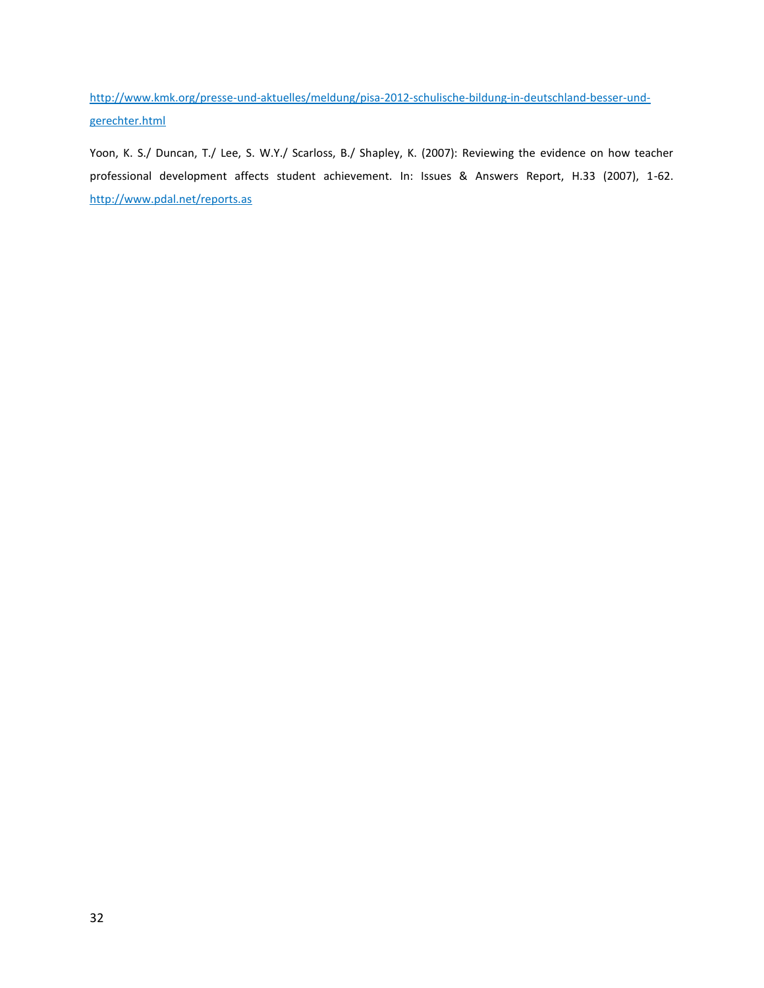[http://www.kmk.org/presse-und-aktuelles/meldung/pisa-2012-schulische-bildung-in-deutschland-besser-und](http://www.kmk.org/presse-und-aktuelles/meldung/pisa-2012-schulische-bildung-in-deutschland-besser-und-gerechter.html)[gerechter.html](http://www.kmk.org/presse-und-aktuelles/meldung/pisa-2012-schulische-bildung-in-deutschland-besser-und-gerechter.html)

Yoon, K. S./ Duncan, T./ Lee, S. W.Y./ Scarloss, B./ Shapley, K. (2007): Reviewing the evidence on how teacher professional development affects student achievement. In: Issues & Answers Report, H.33 (2007), 1-62. <http://www.pdal.net/reports.as>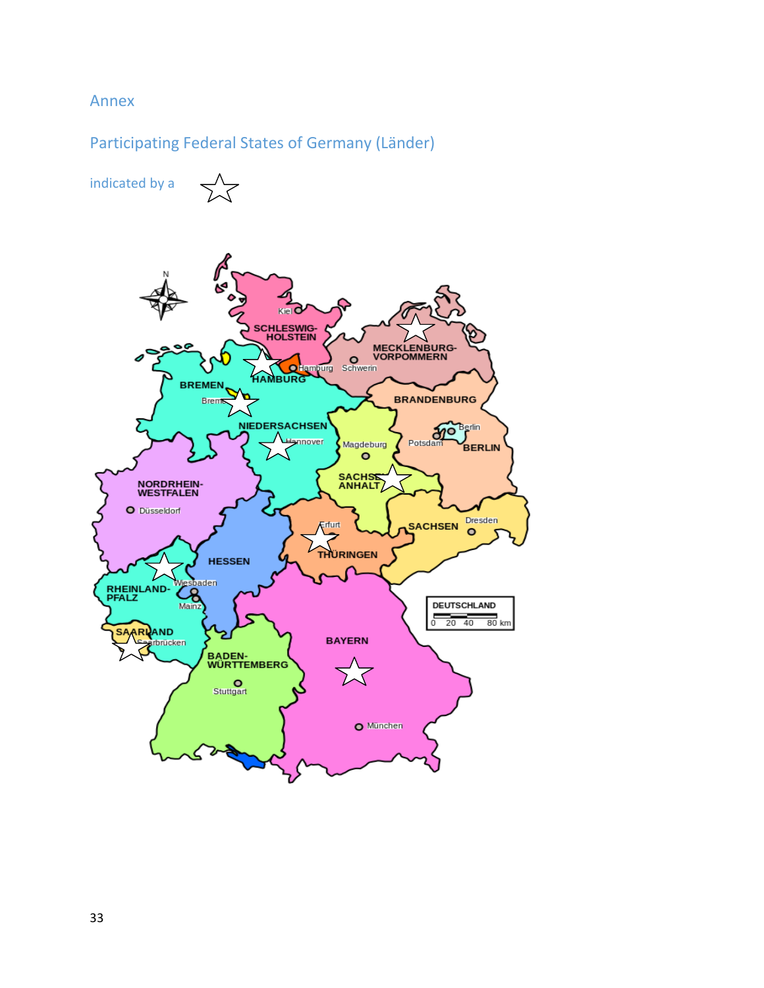## Annex

## Participating Federal States of Germany (Länder)

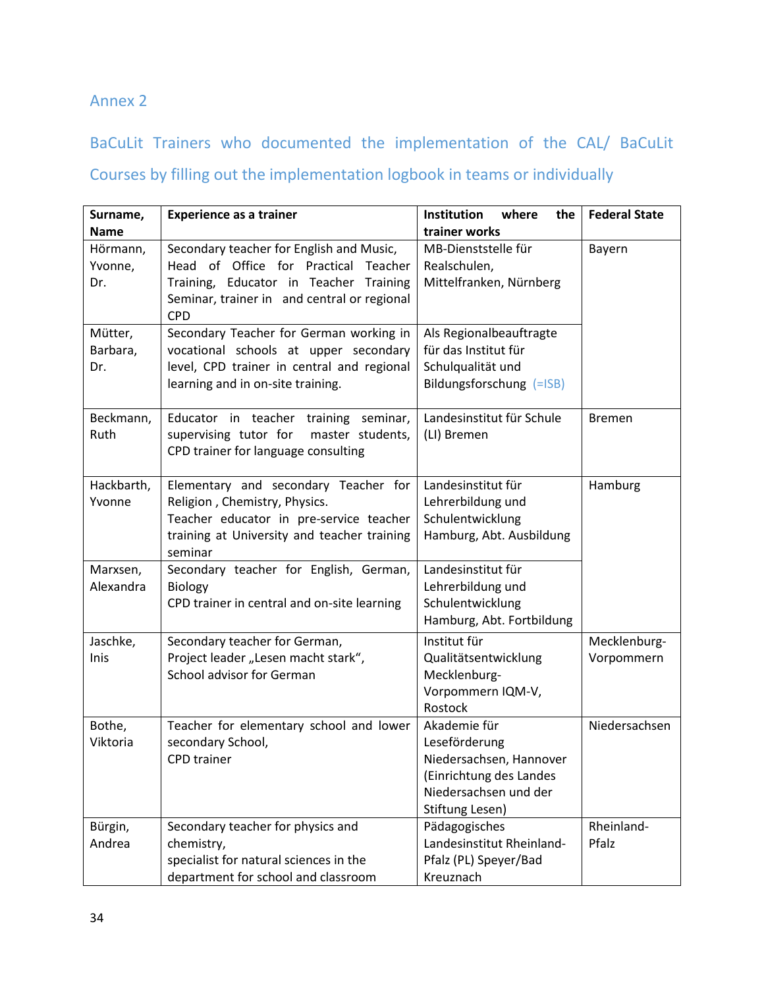## Annex 2

## BaCuLit Trainers who documented the implementation of the CAL/ BaCuLit

# Courses by filling out the implementation logbook in teams or individually

| Surname,    | <b>Experience as a trainer</b>              | Institution<br>where<br>the | <b>Federal State</b> |
|-------------|---------------------------------------------|-----------------------------|----------------------|
| <b>Name</b> |                                             | trainer works               |                      |
| Hörmann,    | Secondary teacher for English and Music,    | MB-Dienststelle für         | Bayern               |
| Yvonne,     | Head of Office for Practical Teacher        | Realschulen,                |                      |
| Dr.         | Training, Educator in Teacher Training      | Mittelfranken, Nürnberg     |                      |
|             | Seminar, trainer in and central or regional |                             |                      |
|             | <b>CPD</b>                                  |                             |                      |
| Mütter,     | Secondary Teacher for German working in     | Als Regionalbeauftragte     |                      |
| Barbara,    | vocational schools at upper secondary       | für das Institut für        |                      |
| Dr.         | level, CPD trainer in central and regional  | Schulqualität und           |                      |
|             | learning and in on-site training.           | Bildungsforschung (=ISB)    |                      |
|             |                                             |                             |                      |
| Beckmann,   | Educator in teacher training seminar,       | Landesinstitut für Schule   | <b>Bremen</b>        |
| Ruth        | supervising tutor for<br>master students,   | (LI) Bremen                 |                      |
|             | CPD trainer for language consulting         |                             |                      |
|             |                                             |                             |                      |
| Hackbarth,  | Elementary and secondary Teacher for        | Landesinstitut für          | Hamburg              |
| Yvonne      | Religion, Chemistry, Physics.               | Lehrerbildung und           |                      |
|             | Teacher educator in pre-service teacher     | Schulentwicklung            |                      |
|             | training at University and teacher training | Hamburg, Abt. Ausbildung    |                      |
|             | seminar                                     |                             |                      |
| Marxsen,    | Secondary teacher for English, German,      | Landesinstitut für          |                      |
| Alexandra   | <b>Biology</b>                              | Lehrerbildung und           |                      |
|             | CPD trainer in central and on-site learning | Schulentwicklung            |                      |
|             |                                             | Hamburg, Abt. Fortbildung   |                      |
| Jaschke,    | Secondary teacher for German,               | Institut für                | Mecklenburg-         |
| Inis        | Project leader "Lesen macht stark",         | Qualitätsentwicklung        | Vorpommern           |
|             | School advisor for German                   | Mecklenburg-                |                      |
|             |                                             | Vorpommern IQM-V,           |                      |
|             |                                             | Rostock                     |                      |
| Bothe,      | Teacher for elementary school and lower     | Akademie für                | Niedersachsen        |
| Viktoria    | secondary School,                           | Leseförderung               |                      |
|             | <b>CPD</b> trainer                          | Niedersachsen, Hannover     |                      |
|             |                                             | (Einrichtung des Landes     |                      |
|             |                                             | Niedersachsen und der       |                      |
|             |                                             | Stiftung Lesen)             |                      |
| Bürgin,     | Secondary teacher for physics and           | Pädagogisches               | Rheinland-           |
| Andrea      | chemistry,                                  | Landesinstitut Rheinland-   | Pfalz                |
|             | specialist for natural sciences in the      | Pfalz (PL) Speyer/Bad       |                      |
|             | department for school and classroom         | Kreuznach                   |                      |